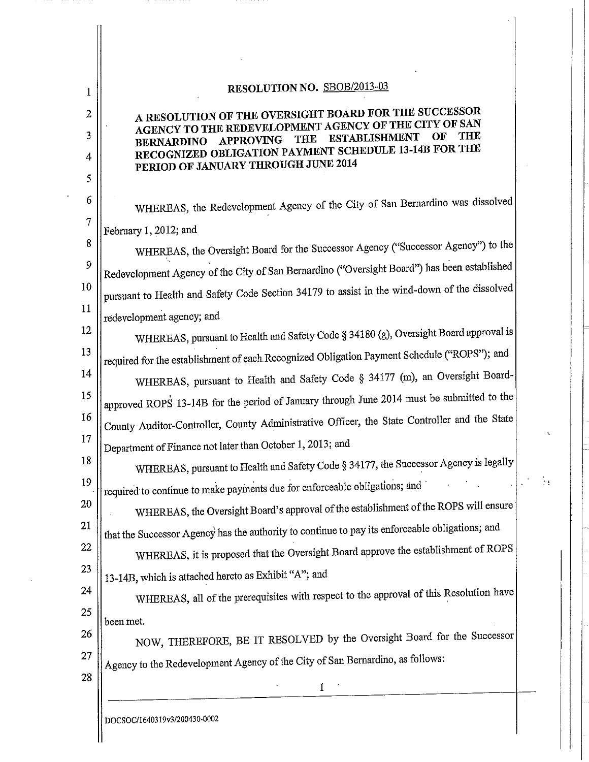| 1                | RESOLUTION NO. SBOB/2013-03                                                                                                                |  |
|------------------|--------------------------------------------------------------------------------------------------------------------------------------------|--|
| $\boldsymbol{2}$ | A RESOLUTION OF THE OVERSIGHT BOARD FOR THE SUCCESSOR                                                                                      |  |
| 3                | AGENCY TO THE REDEVELOPMENT AGENCY OF THE CITY OF SAN<br>THE<br>OF<br><b>ESTABLISHMENT</b><br>THE<br><b>APPROVING</b><br><b>BERNARDINO</b> |  |
| 4                | RECOGNIZED OBLIGATION PAYMENT SCHEDULE 13-14B FOR THE<br>PERIOD OF JANUARY THROUGH JUNE 2014                                               |  |
| 5                |                                                                                                                                            |  |
| 6                | WHEREAS, the Redevelopment Agency of the City of San Bernardino was dissolved                                                              |  |
| $\overline{7}$   | February 1, 2012; and                                                                                                                      |  |
| 8                | WHEREAS, the Oversight Board for the Successor Agency ("Successor Agency") to the                                                          |  |
| 9                | Redevelopment Agency of the City of San Bernardino ("Oversight Board") has been established                                                |  |
| 10               | pursuant to Health and Safety Code Section 34179 to assist in the wind-down of the dissolved                                               |  |
| 11               | redevelopment agency; and                                                                                                                  |  |
| 12               | WHEREAS, pursuant to Health and Safety Code § 34180 (g), Oversight Board approval is                                                       |  |
| 13               | required for the establishment of each Recognized Obligation Payment Schedule ("ROPS"); and                                                |  |
| 14               | WHEREAS, pursuant to Health and Safety Code § 34177 (m), an Oversight Board-                                                               |  |
| 15               | approved ROPS 13-14B for the period of January through June 2014 must be submitted to the                                                  |  |
| 16               | County Auditor-Controller, County Administrative Officer, the State Controller and the State                                               |  |
| 17               | Department of Finance not later than October 1, 2013; and                                                                                  |  |
| 18               | WHEREAS, pursuant to Health and Safety Code § 34177, the Successor Agency is legally                                                       |  |
| 19               | required to continue to make payments due for enforceable obligations; and                                                                 |  |
| 20               | WHEREAS, the Oversight Board's approval of the establishment of the ROPS will ensure                                                       |  |
| 21               | that the Successor Agency has the authority to continue to pay its enforceable obligations; and                                            |  |
| 22               | WHEREAS, it is proposed that the Oversight Board approve the establishment of ROPS                                                         |  |
| 23               | 13-14B, which is attached hereto as Exhibit "A"; and                                                                                       |  |
| 24               | WHEREAS, all of the prerequisites with respect to the approval of this Resolution have                                                     |  |
| 25               | been met.                                                                                                                                  |  |
| 26               | NOW, THEREFORE, BE IT RESOLVED by the Oversight Board for the Successor                                                                    |  |
| 27               | Agency to the Redevelopment Agency of the City of San Bernardino, as follows:                                                              |  |
| 28               |                                                                                                                                            |  |
|                  | DOCSOC/1640319v3/200430-0002                                                                                                               |  |
|                  |                                                                                                                                            |  |

 $\ddot{\phantom{0}}$ 

 $\frac{1}{2}$  $\ddot{\phantom{a}}$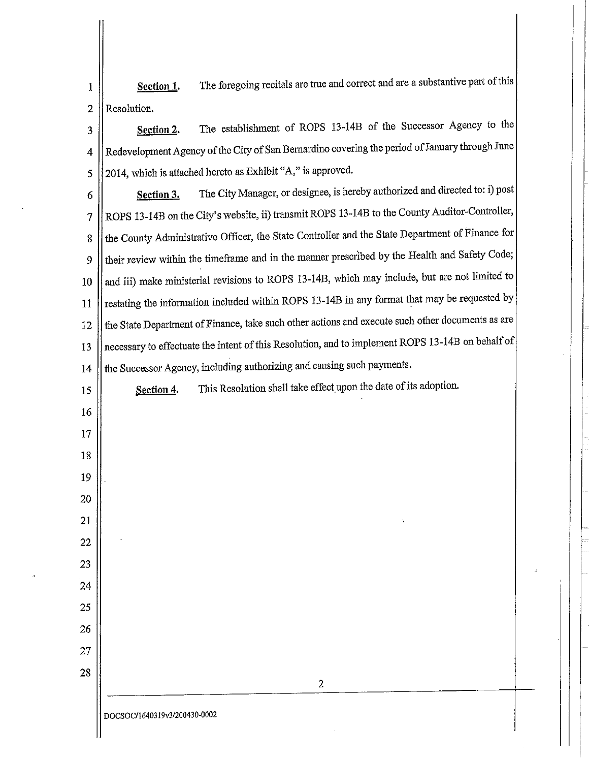The foregoing recitals are true and correct and are a substantive part of this Section 1. 1 Resolution.  $\overline{2}$ 

The establishment of ROPS 13-14B of the Successor Agency to the Section 2. 3 Redevelopment Agency of the City of San Bernardino covering the period of January through June 4 2014, which is attached hereto as Exhibit "A," is approved. 5

The City Manager, or designee, is hereby authorized and directed to: i) post 6 Section 3. ROPS 13-14B on the City's website, ii) transmit ROPS 13-14B to the County Auditor-Controller,  $\overline{\mathcal{I}}$ the County Administrative Officer, the State Controller and the State Department of Finance for 8 their review within the timeframe and in the manner prescribed by the Health and Safety Code; 9 and iii) make ministerial revisions to ROPS 13-14B, which may include, but are not limited to 10 restating the information included within ROPS 13-14B in any format that may be requested by 11 the State Department of Finance, take such other actions and execute such other documents as are 12 necessary to effectuate the intent of this Resolution, and to implement ROPS 13-14B on behalf of 13 the Successor Agency, including authorizing and causing such payments. 14

This Resolution shall take effect upon the date of its adoption. 15 Section 4. 16 17 18 19 20 21 22 23 24 25 26 27 28  $\overline{2}$ DOCSOC/1640319v3/200430-0002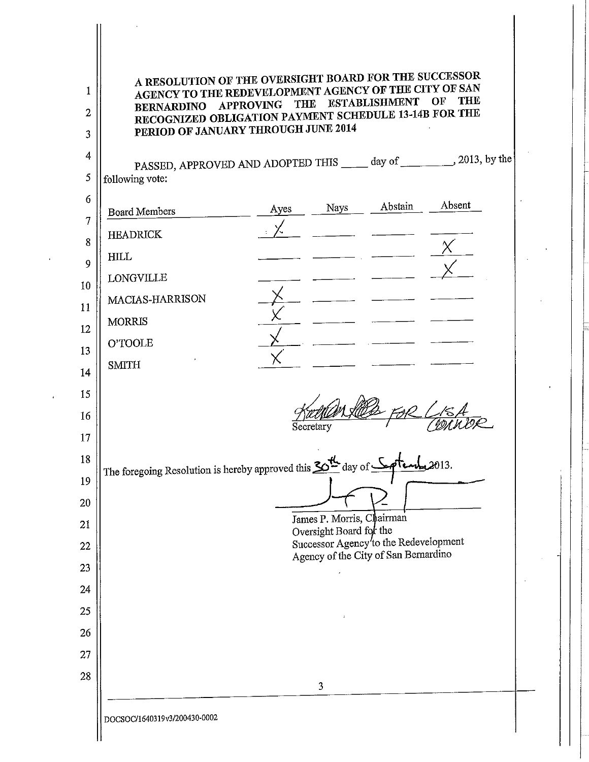| A RESOLUTION OF THE OVERSIGHT BOARD FOR THE SUCCESSOR<br>AGENCY TO THE REDEVELOPMENT AGENCY OF THE CITY OF SAN<br>BERNARDINO APPROVING<br>RECOGNIZED OBLIGATION PAYMENT SCHEDULE 13-14B FOR THE<br>PERIOD OF JANUARY THROUGH JUNE 2014 | <b>THE</b> |                                                      | <b>ESTABLISHMENT</b>                  | THE<br>OF |
|----------------------------------------------------------------------------------------------------------------------------------------------------------------------------------------------------------------------------------------|------------|------------------------------------------------------|---------------------------------------|-----------|
| PASSED, APPROVED AND ADOPTED THIS _____ day of __________, 2013, by the                                                                                                                                                                |            |                                                      |                                       |           |
| following vote:                                                                                                                                                                                                                        |            |                                                      |                                       |           |
| <b>Board Members</b>                                                                                                                                                                                                                   | Ayes       | Nays                                                 | Abstain                               | Absent    |
| <b>HEADRICK</b>                                                                                                                                                                                                                        |            |                                                      |                                       |           |
| <b>HILL</b>                                                                                                                                                                                                                            |            |                                                      |                                       |           |
| <b>LONGVILLE</b>                                                                                                                                                                                                                       |            |                                                      |                                       |           |
| MACIAS-HARRISON                                                                                                                                                                                                                        |            |                                                      |                                       |           |
| <b>MORRIS</b>                                                                                                                                                                                                                          |            |                                                      |                                       |           |
| O'TOOLE                                                                                                                                                                                                                                |            |                                                      |                                       |           |
| <b>SMITH</b>                                                                                                                                                                                                                           |            |                                                      |                                       |           |
|                                                                                                                                                                                                                                        |            | Secretary                                            |                                       |           |
|                                                                                                                                                                                                                                        |            |                                                      |                                       |           |
| The foregoing Resolution is hereby approved this 20 <sup>th</sup> day of <b>Softend</b> , 2013.                                                                                                                                        |            |                                                      |                                       |           |
|                                                                                                                                                                                                                                        |            |                                                      |                                       |           |
|                                                                                                                                                                                                                                        |            | James P. Morris, Chairman<br>Oversight Board for the |                                       |           |
|                                                                                                                                                                                                                                        |            |                                                      | Successor Agency'to the Redevelopment |           |
|                                                                                                                                                                                                                                        |            |                                                      | Agency of the City of San Bernardino  |           |
|                                                                                                                                                                                                                                        |            |                                                      |                                       |           |
|                                                                                                                                                                                                                                        |            |                                                      |                                       |           |
|                                                                                                                                                                                                                                        |            |                                                      |                                       |           |
|                                                                                                                                                                                                                                        |            |                                                      |                                       |           |
|                                                                                                                                                                                                                                        |            | 3                                                    |                                       |           |

 $\frac{1}{2}$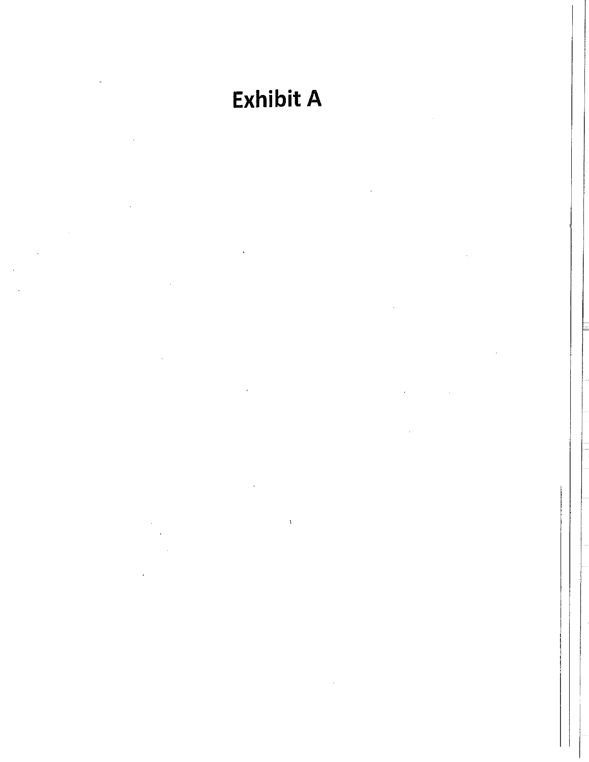# **Exhibit A**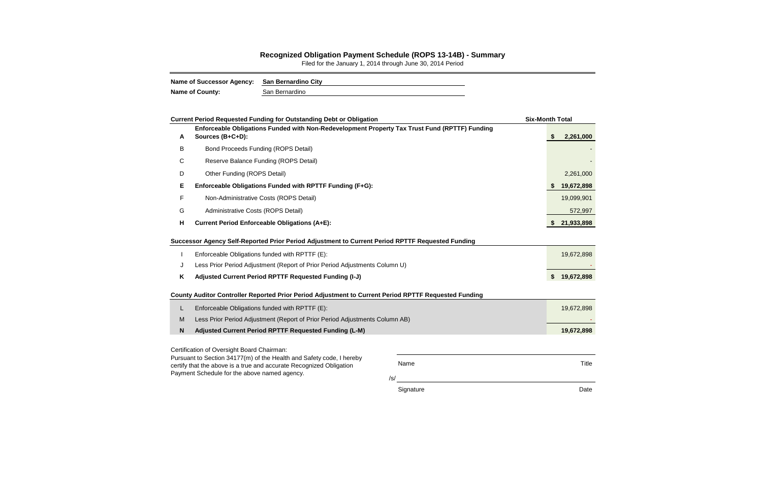| <b>Name of Successor Agency:</b> | San Bernardino City |
|----------------------------------|---------------------|
| <b>Name of County:</b>           | San Bernardino      |

#### **Recognized Obligation Payment Schedule (ROPS 13-14B) - Summary**

Filed for the January 1, 2014 through June 30, 2014 Period

|   | <b>Current Period Requested Funding for Outstanding Debt or Obligation</b>                                                                                                                  |                    | <b>Six-Month Total</b> |
|---|---------------------------------------------------------------------------------------------------------------------------------------------------------------------------------------------|--------------------|------------------------|
| A | Enforceable Obligations Funded with Non-Redevelopment Property Tax Trust Fund (RPTTF) Funding<br>Sources (B+C+D):                                                                           |                    | 2,261,000<br><b>S</b>  |
| B | <b>Bond Proceeds Funding (ROPS Detail)</b>                                                                                                                                                  |                    |                        |
| C | Reserve Balance Funding (ROPS Detail)                                                                                                                                                       |                    |                        |
| D | Other Funding (ROPS Detail)                                                                                                                                                                 |                    | 2,261,000              |
| Е | Enforceable Obligations Funded with RPTTF Funding (F+G):                                                                                                                                    |                    | 19,672,898             |
| F | Non-Administrative Costs (ROPS Detail)                                                                                                                                                      |                    | 19,099,901             |
| G | Administrative Costs (ROPS Detail)                                                                                                                                                          |                    | 572,997                |
| н | <b>Current Period Enforceable Obligations (A+E):</b>                                                                                                                                        |                    | 21,933,898             |
|   | Successor Agency Self-Reported Prior Period Adjustment to Current Period RPTTF Requested Funding                                                                                            |                    |                        |
|   | Enforceable Obligations funded with RPTTF (E):                                                                                                                                              |                    | 19,672,898             |
| J | Less Prior Period Adjustment (Report of Prior Period Adjustments Column U)                                                                                                                  |                    |                        |
| Κ | Adjusted Current Period RPTTF Requested Funding (I-J)                                                                                                                                       |                    | S.<br>19,672,898       |
|   | County Auditor Controller Reported Prior Period Adjustment to Current Period RPTTF Requested Funding                                                                                        |                    |                        |
| L | Enforceable Obligations funded with RPTTF (E):                                                                                                                                              |                    | 19,672,898             |
| M | Less Prior Period Adjustment (Report of Prior Period Adjustments Column AB)                                                                                                                 |                    |                        |
| N | Adjusted Current Period RPTTF Requested Funding (L-M)                                                                                                                                       |                    | 19,672,898             |
|   | Certification of Oversight Board Chairman:                                                                                                                                                  |                    |                        |
|   | Pursuant to Section 34177(m) of the Health and Safety code, I hereby<br>certify that the above is a true and accurate Recognized Obligation<br>Payment Schedule for the above named agency. | Name<br>$\sqrt{s}$ | <b>Title</b>           |

Signature Date **Date**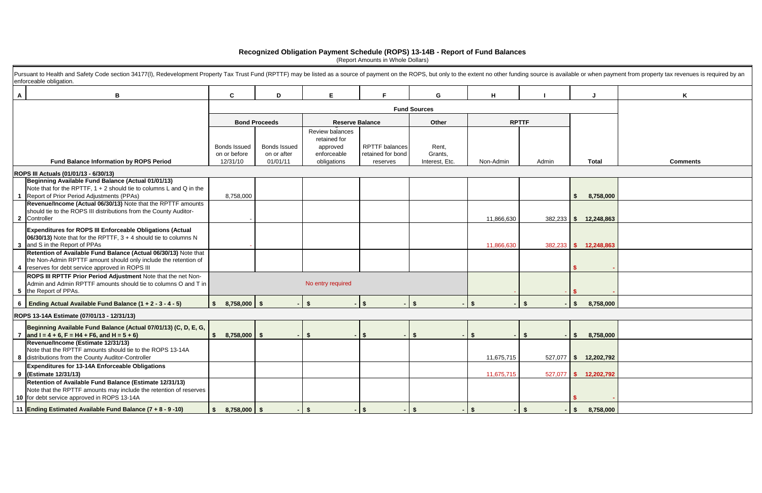|   | Pursuant to Health and Safety Code section 34177(I), Redevelopment Property Tax Trust Fund (RPTTF) may be listed as a source of payment on the ROPS, but only to the extent no other funding source is available or when payme<br>enforceable obligation. |                                      |                                    |                                                            |                                            |                     |            |                |                          |                 |
|---|-----------------------------------------------------------------------------------------------------------------------------------------------------------------------------------------------------------------------------------------------------------|--------------------------------------|------------------------------------|------------------------------------------------------------|--------------------------------------------|---------------------|------------|----------------|--------------------------|-----------------|
| A | B                                                                                                                                                                                                                                                         | C                                    | D                                  | Е                                                          |                                            | G                   | H          |                |                          |                 |
|   |                                                                                                                                                                                                                                                           |                                      |                                    |                                                            |                                            | <b>Fund Sources</b> |            |                |                          |                 |
|   |                                                                                                                                                                                                                                                           |                                      | <b>Bond Proceeds</b>               | <b>Reserve Balance</b>                                     |                                            | Other               |            | <b>RPTTF</b>   |                          |                 |
|   |                                                                                                                                                                                                                                                           | <b>Bonds Issued</b><br>on or before  | <b>Bonds Issued</b><br>on or after | Review balances<br>retained for<br>approved<br>enforceable | <b>RPTTF</b> balances<br>retained for bond | Rent,<br>Grants,    |            |                |                          |                 |
|   | <b>Fund Balance Information by ROPS Period</b>                                                                                                                                                                                                            | 12/31/10                             | 01/01/11                           | obligations                                                | reserves                                   | Interest, Etc.      | Non-Admin  | Admin          | <b>Total</b>             | <b>Comments</b> |
|   | ROPS III Actuals (01/01/13 - 6/30/13)                                                                                                                                                                                                                     |                                      |                                    |                                                            |                                            |                     |            |                |                          |                 |
|   | Beginning Available Fund Balance (Actual 01/01/13)<br>Note that for the RPTTF, $1 + 2$ should tie to columns L and Q in the<br>Report of Prior Period Adjustments (PPAs)                                                                                  | 8,758,000                            |                                    |                                                            |                                            |                     |            |                | 8,758,000                |                 |
|   | Revenue/Income (Actual 06/30/13) Note that the RPTTF amounts<br>should tie to the ROPS III distributions from the County Auditor-<br>2 Controller                                                                                                         |                                      |                                    |                                                            |                                            |                     | 11,866,630 | 382,233        | 12,248,863<br>- \$       |                 |
|   | <b>Expenditures for ROPS III Enforceable Obligations (Actual</b><br>$ 06/30/13 $ Note that for the RPTTF, $3 + 4$ should tie to columns N<br>3 and S in the Report of PPAs                                                                                |                                      |                                    |                                                            |                                            |                     | 11,866,630 | 382,233        | $\frac{1}{2}$ 12,248,863 |                 |
|   | Retention of Available Fund Balance (Actual 06/30/13) Note that<br>the Non-Admin RPTTF amount should only include the retention of<br>4   reserves for debt service approved in ROPS III                                                                  |                                      |                                    |                                                            |                                            |                     |            |                |                          |                 |
|   | ROPS III RPTTF Prior Period Adjustment Note that the net Non-<br>Admin and Admin RPTTF amounts should tie to columns O and T in<br>5 the Report of PPAs.                                                                                                  |                                      |                                    | No entry required                                          |                                            |                     |            |                |                          |                 |
|   | 6 Ending Actual Available Fund Balance $(1 + 2 - 3 - 4 - 5)$                                                                                                                                                                                              | $8,758,000$ \$<br>$\mathbf{\hat{s}}$ |                                    | $\mathbf{s}$                                               |                                            | $\mathbf{s}$        |            | $\hat{\bm{r}}$ | 8,758,000                |                 |
|   | ROPS 13-14A Estimate (07/01/13 - 12/31/13)                                                                                                                                                                                                                |                                      |                                    |                                                            |                                            |                     |            |                |                          |                 |
|   | Beginning Available Fund Balance (Actual 07/01/13) (C, D, E, G,<br>7 $\vert$ and I = 4 + 6, F = H4 + F6, and H = 5 + 6)                                                                                                                                   | $8,758,000$ \$<br>-SS                |                                    | - \$                                                       |                                            | \$                  |            | - \$           | 8,758,000                |                 |
|   | Revenue/Income (Estimate 12/31/13)<br>Note that the RPTTF amounts should tie to the ROPS 13-14A<br>8 distributions from the County Auditor-Controller                                                                                                     |                                      |                                    |                                                            |                                            |                     | 11,675,715 |                | 527,077 \$ 12,202,792    |                 |
|   | Expenditures for 13-14A Enforceable Obligations<br>9 (Estimate 12/31/13)                                                                                                                                                                                  |                                      |                                    |                                                            |                                            |                     | 11,675,715 |                | 527,077 \$ 12,202,792    |                 |
|   | Retention of Available Fund Balance (Estimate 12/31/13)<br>Note that the RPTTF amounts may include the retention of reserves<br>10 for debt service approved in ROPS 13-14A                                                                               |                                      |                                    |                                                            |                                            |                     |            |                |                          |                 |
|   | 11 Ending Estimated Available Fund Balance (7 + 8 - 9 -10)                                                                                                                                                                                                | $8,758,000$ \$<br>$\sqrt{2}$         |                                    | <b>S</b>                                                   | $-1$ \$                                    | $\mathbf{\$}$       | - \$       | <b>S</b>       | 8,758,000<br>$\sqrt{2}$  |                 |

|     |                  | vailable or when payment from property tax revenues is required by an |
|-----|------------------|-----------------------------------------------------------------------|
|     | J                | Κ                                                                     |
|     |                  |                                                                       |
|     |                  |                                                                       |
|     |                  |                                                                       |
|     |                  |                                                                       |
|     | <b>Total</b>     | <b>Comments</b>                                                       |
|     |                  |                                                                       |
|     |                  |                                                                       |
|     | \$<br>8,758,000  |                                                                       |
| 233 | \$<br>12,248,863 |                                                                       |
|     |                  |                                                                       |
| 233 | \$<br>12,248,863 |                                                                       |
|     |                  |                                                                       |
|     | \$               |                                                                       |
|     |                  |                                                                       |
| ۰   | \$               |                                                                       |
|     | \$<br>8,758,000  |                                                                       |

#### **Recognized Obligation Payment Schedule (ROPS) 13-14B - Report of Fund Balances**

(Report Amounts in Whole Dollars)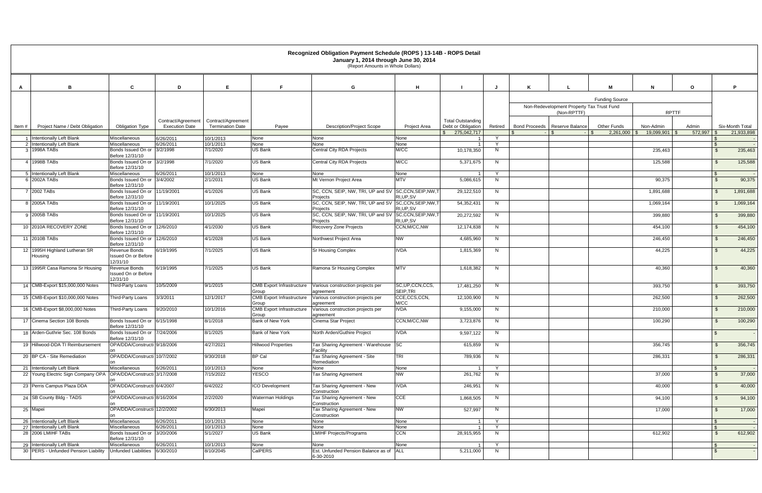|          |                                          |                                                         |                                             |                                               |                                           | necognized Obligation Payment Schedule (NOPS) TS-T4D - NOPS Detail<br>January 1, 2014 through June 30, 2014<br>(Report Amounts in Whole Dollars) |                                |                                                               |         |                                                          |                                                                               |                  |                    |                               |
|----------|------------------------------------------|---------------------------------------------------------|---------------------------------------------|-----------------------------------------------|-------------------------------------------|--------------------------------------------------------------------------------------------------------------------------------------------------|--------------------------------|---------------------------------------------------------------|---------|----------------------------------------------------------|-------------------------------------------------------------------------------|------------------|--------------------|-------------------------------|
| A        | B                                        | C                                                       | D                                           | E                                             | F.                                        | G                                                                                                                                                | H                              |                                                               |         | K                                                        | м<br>N                                                                        | $\mathbf{o}$     |                    | P.                            |
|          |                                          |                                                         |                                             |                                               |                                           |                                                                                                                                                  |                                |                                                               |         | Non-Redevelopment Property Tax Trust Fund<br>(Non-RPTTF) | <b>Funding Source</b>                                                         | <b>RPTTF</b>     |                    |                               |
| Item $#$ | Project Name / Debt Obligation           | <b>Obligation Type</b>                                  | Contract/Agreement<br><b>Execution Date</b> | Contract/Agreement<br><b>Termination Date</b> | Payee                                     | <b>Description/Project Scope</b>                                                                                                                 | Project Area                   | <b>Total Outstanding</b><br>Debt or Obligation<br>275,042,717 | Retired | Bond Proceeds   Reserve Balance<br>- SS                  | Other Funds<br>Non-Admin<br>$2,261,000$ \$<br>19,099,901 \$<br>$\blacksquare$ | Admin<br>572,997 |                    | Six-Month Total<br>21,933,898 |
|          | 1 Intentionally Left Blank               | Miscellaneous                                           | 6/26/2011                                   | 10/1/2013                                     | None                                      | None                                                                                                                                             | None                           |                                                               | Y       |                                                          |                                                                               |                  |                    |                               |
|          | 2 Intentionally Left Blank               | Miscellaneous                                           | 6/26/2011                                   | 10/1/2013                                     | None                                      | None                                                                                                                                             | None                           |                                                               | Y       |                                                          |                                                                               |                  |                    |                               |
|          | 3 1998A TABs                             | Bonds Issued On or 3/2/1998<br>Before 12/31/10          |                                             | 7/1/2020                                      | US Bank                                   | <b>Central City RDA Projects</b>                                                                                                                 | M/CC                           | 10,178,350                                                    | N       |                                                          | 235,463                                                                       |                  | $\mathbf{s}$       | 235,463                       |
|          | 4 1998B TABs                             | Bonds Issued On or 3/2/1998<br>Before 12/31/10          |                                             | 7/1/2020                                      | <b>US Bank</b>                            | Central City RDA Projects                                                                                                                        | M/CC                           | 5,371,675                                                     | N       |                                                          | 125,588                                                                       |                  | $\mathcal{L}$      | 125,588                       |
|          | 5 Intentionally Left Blank               | Miscellaneous                                           | 6/26/2011                                   | 10/1/2013                                     | None                                      | None                                                                                                                                             | None                           |                                                               | Y       |                                                          |                                                                               |                  | -S                 |                               |
|          | 6 2002A TABs                             | Bonds Issued On or 3/4/2002<br>Before 12/31/10          |                                             | 2/1/2031                                      | <b>US Bank</b>                            | Mt Vernon Project Area                                                                                                                           | <b>MTV</b>                     | 5,086,615                                                     | N       |                                                          | 90,375                                                                        |                  | $\mathcal{S}$      | 90,375                        |
|          | 7 2002 TABs                              | Bonds Issued On or 11/19/2001<br>Before 12/31/10        |                                             | 4/1/2026                                      | US Bank                                   | SC, CCN, SEIP, NW, TRI, UP and SV SC, CCN, SEIP, NW, T<br>Projects                                                                               | RI, UP, SV                     | 29,122,510                                                    | N       |                                                          | 1,891,688                                                                     |                  | $\mathfrak{L}$     | 1,891,688                     |
|          | 8 2005A TABs                             | Bonds Issued On or 11/19/2001<br>Before 12/31/10        |                                             | 10/1/2025                                     | <b>US Bank</b>                            | SC, CCN, SEIP, NW, TRI, UP and SV SC, CCN, SEIP, NW, T<br>Projects                                                                               | RI, UP, SV                     | 54,352,431                                                    | N       |                                                          | 1,069,164                                                                     |                  | $\mathcal{S}$      | 1,069,164                     |
|          | 9 2005B TABs                             | Bonds Issued On or 11/19/2001<br>Before 12/31/10        |                                             | 10/1/2025                                     | US Bank                                   | SC, CCN, SEIP, NW, TRI, UP and SV<br>Projects                                                                                                    | SC,CCN,SEIP,NW,T<br>RI, UP, SV | 20,272,592                                                    | N       |                                                          | 399,880                                                                       |                  | $\mathbf{S}$       | 399,880                       |
|          | 10 2010A RECOVERY ZONE                   | Bonds Issued On or 12/6/2010<br>Before 12/31/10         |                                             | 4/1/2030                                      | <b>US Bank</b>                            | Recovery Zone Projects                                                                                                                           | CCN, M/CC, NW                  | 12,174,838                                                    | N       |                                                          | 454,100                                                                       |                  |                    | 454,100                       |
|          | 11 2010B TABs                            | Bonds Issued On or 12/6/2010<br>Before 12/31/10         |                                             | 4/1/2028                                      | <b>US Bank</b>                            | Northwest Project Area                                                                                                                           | <b>NW</b>                      | 4,685,960                                                     | N       |                                                          | 246,450                                                                       |                  | $\mathcal{L}$      | 246,450                       |
|          | 12 1995H Highland Lutheran SR<br>Housing | Revenue Bonds<br><b>Issued On or Before</b><br>12/31/10 | 6/19/1995                                   | 7/1/2025                                      | <b>US Bank</b>                            | <b>Sr Housing Complex</b>                                                                                                                        | <b>IVDA</b>                    | 1,815,369                                                     | N       |                                                          | 44,225                                                                        |                  | $\mathbf{\hat{f}}$ | 44,225                        |
|          | 13 1995R Casa Ramona Sr Housing          | Revenue Bonds<br>Issued On or Before<br>12/31/10        | 6/19/1995                                   | 7/1/2025                                      | <b>US Bank</b>                            | Ramona Sr Housing Complex                                                                                                                        | <b>MTV</b>                     | 1,618,382                                                     | N       |                                                          | 40,360                                                                        |                  | $\mathfrak{L}$     | 40,360                        |
|          | 14 CMB-Export \$15,000,000 Notes         | Third-Party Loans                                       | 10/5/2009                                   | 9/1/2015                                      | <b>CMB Export Infrastructure</b><br>Group | Various construction projects per<br>agreement                                                                                                   | SC, UP, CCN, CCS,<br>SEIP, TRI | 17,481,250                                                    | N       |                                                          | 393,750                                                                       |                  | $\mathbf{S}$       | 393,750                       |
|          | 15 CMB-Export \$10,000,000 Notes         | Third-Party Loans                                       | 3/3/2011                                    | 12/1/2017                                     | <b>CMB</b> Export Infrastructure<br>Group | Various construction projects per<br>agreement                                                                                                   | CCE,CCS,CCN,<br>M/CC           | 12,100,900                                                    | N       |                                                          | 262,500                                                                       |                  | $\mathbf{\hat{f}}$ | 262,500                       |
|          | 16 CMB-Export \$8,000,000 Notes          | Third-Party Loans                                       | 9/20/2010                                   | 10/1/2016                                     | <b>CMB Export Infrastructure</b><br>Group | Various construction projects per<br>agreement                                                                                                   | <b>IVDA</b>                    | 9,155,000                                                     | N       |                                                          | 210,000                                                                       |                  | $\mathbf{s}$       | 210,000                       |
|          | 17 Cinema Section 108 Bonds              | Bonds Issued On or 6/15/1998<br>Before 12/31/10         |                                             | 8/1/2018                                      | <b>Bank of New York</b>                   | Cinema Star Project                                                                                                                              | CCN, M/CC, NW                  | 3,723,876                                                     | N       |                                                          | 100,290                                                                       |                  | $\mathcal{S}$      | 100,290                       |
|          | 18 Arden-Guthrie Sec. 108 Bonds          | Bonds Issued On or 7/24/2006<br>Before 12/31/10         |                                             | 8/1/2025                                      | Bank of New York                          | North Arden/Guthire Project                                                                                                                      | <b>IVDA</b>                    | 9,597,122                                                     | N       |                                                          |                                                                               |                  |                    |                               |
|          | 19 Hillwood-DDA TI Reimbursement         | OPA/DDA/Constructi 9/18/2006<br>on                      |                                             | 4/27/2021                                     | <b>Hillwood Properties</b>                | Tax Sharing Agreement - Warehouse SC<br>Facility                                                                                                 |                                | 615,859                                                       | N       |                                                          | 356,745                                                                       |                  | $\mathbf{s}$       | 356,745                       |
|          | 20 BP CA - Site Remediation              | OPA/DDA/Constructi 10/7/2002                            |                                             | 9/30/2018                                     | <b>BP Cal</b>                             | Tax Sharing Agreement - Site<br>Remediation                                                                                                      | <b>TRI</b>                     | 789,936                                                       | N       |                                                          | 286,331                                                                       |                  | $\mathbf{s}$       | 286,331                       |
|          | 21 Intentionally Left Blank              | Miscellaneous                                           | 6/26/2011                                   | 10/1/2013                                     | None                                      | None                                                                                                                                             | None                           |                                                               | Y       |                                                          |                                                                               |                  |                    |                               |
|          | 22 Young Electric Sign Company OPA       | OPA/DDA/Constructi 3/17/2008<br>on                      |                                             | 7/15/2022                                     | <b>YESCO</b>                              | <b>Tax Sharing Agreement</b>                                                                                                                     | <b>NW</b>                      | 261,762                                                       | N.      |                                                          | 37,000                                                                        |                  | $\mathbf{s}$       | 37,000                        |
|          | 23 Perris Campus Plaza DDA               | OPA/DDA/Constructi 6/4/2007<br>on                       |                                             | 6/4/2022                                      | <b>ICO Development</b>                    | Tax Sharing Agreement - New<br>Construction                                                                                                      | <b>IVDA</b>                    | 246,951                                                       | N       |                                                          | 40,000                                                                        |                  | $\mathbb{S}$       | 40,000                        |
|          | 24 SB County Bldg - TADS                 | OPA/DDA/Constructi 8/16/2004                            |                                             | 2/2/2020                                      | Waterman Holdings                         | Tax Sharing Agreement - New<br>Construction                                                                                                      | <b>CCE</b>                     | 1,868,505                                                     | N       |                                                          | 94,100                                                                        |                  | <sup>\$</sup>      | 94,100                        |
| 25 Mapei |                                          | OPA/DDA/Constructi 12/2/2002<br>on                      |                                             | 6/30/2013                                     | Mapei                                     | Tax Sharing Agreement - New<br>Construction                                                                                                      | <b>NW</b>                      | 527,997                                                       | N       |                                                          | 17,000                                                                        |                  | \$.                | 17,000                        |
|          | 26 Intentionally Left Blank              | Miscellaneous                                           | 6/26/2011                                   | 10/1/2013                                     | None                                      | None                                                                                                                                             | None                           | - 1                                                           | Y       |                                                          |                                                                               |                  | \$                 |                               |
|          | 27 Intentionally Left Blank              | Miscellaneous                                           | 6/26/2011                                   | 10/1/2013                                     | None                                      | None                                                                                                                                             | None                           | - 1                                                           | Y       |                                                          |                                                                               |                  | $\mathbf{s}$       |                               |
|          | 28 2006 LMIHF TABS                       | Bonds Issued On or 3/20/2006<br>Before 12/31/10         |                                             | 5/1/2027                                      | US Bank                                   | <b>LMIHF Projects/Programs</b>                                                                                                                   | <b>CCN</b>                     | 28,915,955                                                    | N       |                                                          | 612,902                                                                       |                  | $\mathbf{s}$       | 612,902                       |
|          | 29 Intentionally Left Blank              | Miscellaneous                                           | 6/26/2011                                   | 10/1/2013                                     | None                                      | None                                                                                                                                             | None                           |                                                               | Y       |                                                          |                                                                               |                  | \$                 |                               |
|          | 30 PERS - Unfunded Pension Liability     | Unfunded Liabilities 6/30/2010                          |                                             | 8/10/2045                                     | <b>CalPERS</b>                            | Est. Unfunded Pension Balance as of<br>6-30-2010                                                                                                 | <b>ALL</b>                     | 5,211,000                                                     | N       |                                                          |                                                                               |                  |                    |                               |

#### **Recognized Obligation Payment Schedule (ROPS ) 13-14B - ROPS Detail January 1, 2014 through June 30, 2014**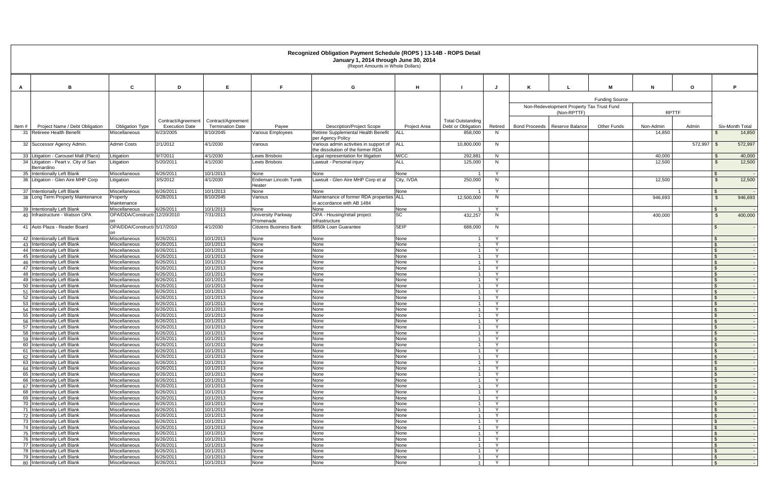### **Recognized Obligation Payment Schedule (ROPS ) 13-14B - ROPS Detail January 1, 2014 through June 30, 2014**

|                                                                        |                                         |                                    |                                      |                                        | Recognized Obligation Payment Schedule (ROPS) 13-14D - ROPS Detail<br>January 1, 2014 through June 30, 2014<br>(Report Amounts in Whole Dollars) |                     |                                  |                        |                                 |                                                          |                       |                     |         |                                |                           |
|------------------------------------------------------------------------|-----------------------------------------|------------------------------------|--------------------------------------|----------------------------------------|--------------------------------------------------------------------------------------------------------------------------------------------------|---------------------|----------------------------------|------------------------|---------------------------------|----------------------------------------------------------|-----------------------|---------------------|---------|--------------------------------|---------------------------|
| B<br>A                                                                 | C                                       | D                                  | E                                    | -F.                                    | G                                                                                                                                                | H                   |                                  |                        | К                               |                                                          |                       | N                   | $\circ$ |                                | P.                        |
|                                                                        |                                         |                                    |                                      |                                        |                                                                                                                                                  |                     |                                  |                        |                                 |                                                          | <b>Funding Source</b> |                     |         |                                |                           |
|                                                                        |                                         |                                    |                                      |                                        |                                                                                                                                                  |                     |                                  |                        |                                 | Non-Redevelopment Property Tax Trust Fund<br>(Non-RPTTF) |                       | <b>RPTTF</b>        |         |                                |                           |
|                                                                        |                                         | Contract/Agreement                 | Contract/Agreement                   |                                        |                                                                                                                                                  |                     | <b>Total Outstanding</b>         |                        |                                 |                                                          |                       |                     |         |                                |                           |
| Project Name / Debt Obligation<br>Item #<br>31 Retireee Health Benefit | <b>Obligation Type</b><br>Miscellaneous | <b>Execution Date</b><br>6/23/2005 | <b>Termination Date</b><br>8/10/2045 | Payee<br>Various Employees             | <b>Description/Project Scope</b><br>Retiree Supplemental Health Benefit                                                                          | Project Area<br>ALL | Debt or Obligation<br>858,000    | Retired<br>N           | Bond Proceeds   Reserve Balance |                                                          | <b>Other Funds</b>    | Non-Admin<br>14,850 | Admin   |                                | Six-Month Total<br>14,850 |
|                                                                        |                                         |                                    |                                      |                                        | per Agency Policy                                                                                                                                |                     |                                  |                        |                                 |                                                          |                       |                     |         |                                |                           |
| 32 Successor Agency Admin.                                             | Admin Costs                             | 2/1/2012                           | 4/1/2030                             | Various                                | Various admin activities in support of<br>the dissolution of the former RDA                                                                      | ALL                 | 10,800,000                       | N                      |                                 |                                                          |                       |                     | 572,997 | - S                            | 572,997                   |
| 33 Litigation - Carousel Mall (Placo)                                  | Litigation                              | 9/7/2011<br>5/20/2011              | 4/1/2030<br>4/1/2030                 | Lewis Brisbois<br>Lewis Brisbois       | Legal representation for litigation<br>Lawsuit - Personal injury                                                                                 | M/CC<br><b>ALL</b>  | 292,881                          | N<br>N                 |                                 |                                                          |                       | 40,000<br>12,500    |         | $\mathcal{F}$                  | 40,000                    |
| 34 Litigation - Peart v. City of San<br>Bernardino                     | Litigation                              |                                    |                                      |                                        |                                                                                                                                                  |                     | 125,000                          |                        |                                 |                                                          |                       |                     |         |                                | 12,500                    |
| 35 Intentionally Left Blank                                            | Miscellaneous                           | 6/26/2011                          | 10/1/2013                            | None                                   | None                                                                                                                                             | None                |                                  | $\mathsf{v}$           |                                 |                                                          |                       |                     |         | $\mathfrak{L}$                 |                           |
| 36 Litigation - Glen Aire MHP Corp                                     | Litigation                              | 3/5/2012                           | 4/1/2030                             | <b>Endeman Lincoln Turek</b><br>Heater | Lawsuit - Glen Aire MHP Corp et al                                                                                                               | City, IVDA          | 250,000                          | N                      |                                 |                                                          |                       | 12,500              |         | $\mathcal{L}$                  | 12,500                    |
| 37 Intentionally Left Blank                                            | <b>Miscellaneous</b>                    | 6/26/2011                          | 10/1/2013                            | None                                   | None                                                                                                                                             | None                |                                  | Y                      |                                 |                                                          |                       |                     |         | $\mathfrak{L}$                 |                           |
| 38 Long Term Property Maintenance                                      | Property<br>Maintenance                 | 6/28/2011                          | 8/10/2045                            | Various                                | Maintenance of former RDA properties ALL<br>in accordance with AB 1484                                                                           |                     | 12,500,000                       | N                      |                                 |                                                          |                       | 946,693             |         | $\mathbf{\hat{s}}$             | 946,693                   |
| 39 Intentionally Left Blank                                            | <b>Miscellaneous</b>                    | 6/26/2011                          | 10/1/2013                            | None                                   | None                                                                                                                                             | None                |                                  | Y                      |                                 |                                                          |                       |                     |         |                                |                           |
| 40 Infrastructure - Watson OPA                                         | OPA/DDA/Constructi<br>on                | 12/20/2010                         | 7/31/2013                            | University Parkway<br>Promenade        | OPA - Housing/retail project<br>infrastructure                                                                                                   | <b>SC</b>           | 432,257                          | N                      |                                 |                                                          |                       | 400,000             |         |                                | 400,000                   |
| 41 Auto Plaza - Reader Board                                           | OPA/DDA/Constructi 5/17/2010<br>on      |                                    | 4/1/2030                             | Citizens Business Bank                 | \$850k Loan Guarantee                                                                                                                            | <b>SEIP</b>         | 688,000                          | N                      |                                 |                                                          |                       |                     |         |                                |                           |
| 42 Intentionally Left Blank                                            | Miscellaneous                           | 6/26/2011                          | 10/1/2013                            | None                                   | None                                                                                                                                             | None                | $\overline{\phantom{0}}$         | Y                      |                                 |                                                          |                       |                     |         | $\mathcal{L}$                  |                           |
| 43 Intentionally Left Blank<br>44 Intentionally Left Blank             | Miscellaneous<br>Miscellaneous          | 6/26/2011<br>6/26/2011             | 10/1/2013<br>10/1/2013               | None<br>None                           | None<br>None                                                                                                                                     | None<br>None        |                                  | $\vee$<br>$\mathsf{Y}$ |                                 |                                                          |                       |                     |         | $\mathfrak{L}$<br>$\mathbf{s}$ |                           |
| 45 Intentionally Left Blank                                            | Miscellaneous                           | 6/26/2011                          | 10/1/2013                            | None                                   | None                                                                                                                                             | None                | - 1                              | Y                      |                                 |                                                          |                       |                     |         | \$                             |                           |
| 46 Intentionally Left Blank                                            | Miscellaneous                           | 6/26/2011                          | 10/1/2013                            | None                                   | None                                                                                                                                             | None                | $\overline{1}$                   | Y                      |                                 |                                                          |                       |                     |         | $\mathbf{\hat{f}}$             |                           |
| 47 Intentionally Left Blank                                            | Miscellaneous                           | 6/26/2011                          | 10/1/2013                            | None                                   | None                                                                                                                                             | None                | - 1                              | Y                      |                                 |                                                          |                       |                     |         | \$                             |                           |
| 48 Intentionally Left Blank<br>49 Intentionally Left Blank             | Miscellaneous<br>Miscellaneous          | 6/26/2011<br>6/26/2011             | 10/1/2013<br>10/1/2013               | None<br>None                           | None<br>None                                                                                                                                     | None<br>None        | $\overline{1}$                   | Y<br><b>Y</b>          |                                 |                                                          |                       |                     |         | $\mathbf{s}$<br>$\mathfrak{L}$ |                           |
| 50 Intentionally Left Blank                                            | Miscellaneous                           | 6/26/2011                          | 10/1/2013                            | None                                   | None                                                                                                                                             | None                |                                  |                        |                                 |                                                          |                       |                     |         | $\mathfrak{L}$                 |                           |
| 51 Intentionally Left Blank                                            | Miscellaneous                           | 6/26/2011                          | 10/1/2013                            | None                                   | None                                                                                                                                             | None                |                                  | Y                      |                                 |                                                          |                       |                     |         | $\mathbf{s}$                   |                           |
| 52 Intentionally Left Blank                                            | Miscellaneous                           | 6/26/2011                          | 10/1/2013                            | None<br>None                           | None                                                                                                                                             | None                | $\overline{1}$                   | Y                      |                                 |                                                          |                       |                     |         | $\mathbf{s}$                   |                           |
| 53 Intentionally Left Blank<br>54 Intentionally Left Blank             | Miscellaneous<br>Miscellaneous          | 6/26/2011<br>6/26/2011             | 10/1/2013<br>10/1/2013               | None                                   | None<br>None                                                                                                                                     | None<br>None        | $\overline{1}$<br>$\overline{1}$ | Y<br>Y                 |                                 |                                                          |                       |                     |         | $\mathbf{\hat{s}}$<br>-S       |                           |
| 55 Intentionally Left Blank                                            | Miscellaneous                           | 6/26/2011                          | 10/1/2013                            | None                                   | None                                                                                                                                             | None                | $\overline{1}$                   | Y                      |                                 |                                                          |                       |                     |         | $\hat{\tau}$                   |                           |
| 56 Intentionally Left Blank                                            | Miscellaneous                           | 6/26/2011                          | 10/1/2013                            | None                                   | None                                                                                                                                             | None                |                                  | $\mathsf{Y}$           |                                 |                                                          |                       |                     |         | $\mathfrak{L}$                 |                           |
| 57 Intentionally Left Blank                                            | Miscellaneous                           | 6/26/2011                          | 10/1/2013<br>10/1/2013               | None                                   | None                                                                                                                                             | None                |                                  | Y<br>Y.                |                                 |                                                          |                       |                     |         |                                |                           |
| 58 Intentionally Left Blank<br>59 Intentionally Left Blank             | <b>Miscellaneous</b><br>Miscellaneous   | 6/26/2011<br>6/26/2011             | 10/1/2013                            | <b>None</b><br>None                    | <b>None</b><br>None                                                                                                                              | None<br>None        | $\overline{1}$                   | Y                      |                                 |                                                          |                       |                     |         | $\mathbf{\hat{S}}$             |                           |
| 60 Intentionally Left Blank                                            | Miscellaneous                           | 6/26/2011                          | 10/1/2013                            | None                                   | None                                                                                                                                             | None                | $\overline{1}$                   | Y                      |                                 |                                                          |                       |                     |         | -S                             |                           |
| 61 Intentionally Left Blank                                            | Miscellaneous                           | 6/26/2011                          | 10/1/2013                            | None                                   | None                                                                                                                                             | None                |                                  | Y                      |                                 |                                                          |                       |                     |         |                                |                           |
| 62 Intentionally Left Blank<br>63 Intentionally Left Blank             | Miscellaneous<br>Miscellaneous          | 6/26/2011<br>6/26/2011             | 10/1/2013<br>10/1/2013               | None<br>None                           | None<br>None                                                                                                                                     | None<br>None        |                                  | Y<br>Y                 |                                 |                                                          |                       |                     |         |                                |                           |
| 64 Intentionally Left Blank                                            | Miscellaneous                           | 6/26/2011                          | 10/1/2013                            | None                                   | None                                                                                                                                             | None                | $\overline{1}$                   | Y                      |                                 |                                                          |                       |                     |         |                                |                           |
| 65 Intentionally Left Blank                                            | Miscellaneous                           | 6/26/2011                          | 10/1/2013                            | None                                   | None                                                                                                                                             | None                | $\overline{1}$                   | Y                      |                                 |                                                          |                       |                     |         | $\mathbf{s}$                   |                           |
| 66 Intentionally Left Blank                                            | Miscellaneous                           | 6/26/2011                          | 10/1/2013                            | None                                   | None                                                                                                                                             | None                | - 1                              | Y                      |                                 |                                                          |                       |                     |         | \$                             |                           |
| 67 Intentionally Left Blank<br>68 Intentionally Left Blank             | Miscellaneous<br>Miscellaneous          | 6/26/2011<br>6/26/2011             | 10/1/2013<br>10/1/2013               | None<br>None                           | None<br>None                                                                                                                                     | None<br>None        | $\overline{\phantom{0}}$         | Y<br>Y                 |                                 |                                                          |                       |                     |         |                                |                           |
| 69 Intentionally Left Blank                                            | Miscellaneous                           | 6/26/2011                          | 10/1/2013                            | None                                   | None                                                                                                                                             | None                |                                  | Y                      |                                 |                                                          |                       |                     |         |                                |                           |
| 70 Intentionally Left Blank                                            | Miscellaneous                           | 6/26/2011                          | 10/1/2013                            | None                                   | None                                                                                                                                             | None                | - 1                              | Y                      |                                 |                                                          |                       |                     |         | \$                             |                           |
| 71 Intentionally Left Blank                                            | Miscellaneous                           | 6/26/2011                          | 10/1/2013                            | None                                   | None                                                                                                                                             | None                | $\overline{1}$                   | Y                      |                                 |                                                          |                       |                     |         | $\mathfrak{L}$                 |                           |
| 72 Intentionally Left Blank<br>73 Intentionally Left Blank             | Miscellaneous<br>Miscellaneous          | 6/26/2011<br>6/26/2011             | 10/1/2013<br>10/1/2013               | None<br>None                           | None<br>None                                                                                                                                     | None<br>None        | - 1<br>$\overline{\phantom{0}}$  | Y<br>Y                 |                                 |                                                          |                       |                     |         | - \$<br>-\$                    |                           |
| 74 Intentionally Left Blank                                            | Miscellaneous                           | 6/26/2011                          | 10/1/2013                            | None                                   | None                                                                                                                                             | None                |                                  | Y                      |                                 |                                                          |                       |                     |         | $\mathfrak{L}$                 |                           |
| 75 Intentionally Left Blank                                            | Miscellaneous                           | 6/26/2011                          | 10/1/2013                            | None                                   | None                                                                                                                                             | None                |                                  | $\mathsf{Y}$           |                                 |                                                          |                       |                     |         |                                |                           |
| 76 Intentionally Left Blank                                            | Miscellaneous                           | 6/26/2011                          | 10/1/2013                            | None                                   | None                                                                                                                                             | None                | - 1                              | Y<br>Y                 |                                 |                                                          |                       |                     |         | $\mathbf{\hat{S}}$             |                           |
| 77 Intentionally Left Blank<br>78 Intentionally Left Blank             | Miscellaneous<br>Miscellaneous          | 6/26/2011<br>6/26/2011             | 10/1/2013<br>10/1/2013               | None<br>None                           | None<br>None                                                                                                                                     | None<br>None        | $\overline{1}$                   | Y                      |                                 |                                                          |                       |                     |         |                                |                           |
| 79 Intentionally Left Blank                                            | Miscellaneous                           | 6/26/2011                          | 10/1/2013                            | None                                   | None                                                                                                                                             | None                | $\overline{1}$                   | Y                      |                                 |                                                          |                       |                     |         | -S                             |                           |
| 80 Intentionally Left Blank                                            | Miscellaneous                           | 6/26/2011                          | 10/1/2013                            | None                                   | None                                                                                                                                             | None                |                                  | Y                      |                                 |                                                          |                       |                     |         |                                |                           |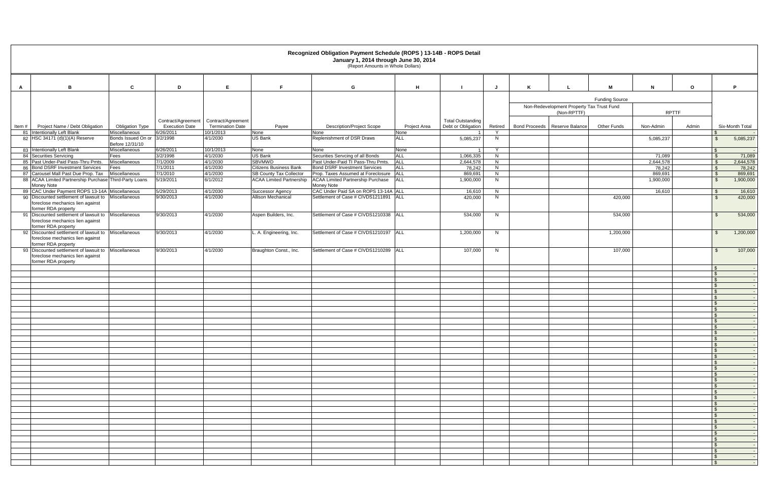## **Recognized Obligation Payment Schedule (ROPS ) 13-14B - ROPS Detail January 1, 2014 through June 30, 2014**

|   |                                                                                                   |                                                |                                             |                                               |                                                                 | Recognized Obligation Payment Schedule (ROPS) 13-14B - ROPS Detail<br>January 1, 2014 through June 30, 2014<br>(Report Amounts in Whole Dollars) |              |                                                |         |   |                                                          |                       |                   |              |                                                      |
|---|---------------------------------------------------------------------------------------------------|------------------------------------------------|---------------------------------------------|-----------------------------------------------|-----------------------------------------------------------------|--------------------------------------------------------------------------------------------------------------------------------------------------|--------------|------------------------------------------------|---------|---|----------------------------------------------------------|-----------------------|-------------------|--------------|------------------------------------------------------|
| A | в                                                                                                 | C                                              | D                                           | E.                                            | F.                                                              | G                                                                                                                                                | H            |                                                | J.      | K |                                                          | м                     | N                 | $\mathbf{o}$ | P                                                    |
|   |                                                                                                   |                                                |                                             |                                               |                                                                 |                                                                                                                                                  |              |                                                |         |   |                                                          | <b>Funding Source</b> |                   |              |                                                      |
|   |                                                                                                   |                                                |                                             |                                               |                                                                 |                                                                                                                                                  |              |                                                |         |   | Non-Redevelopment Property Tax Trust Fund<br>(Non-RPTTF) |                       | <b>RPTTF</b>      |              |                                                      |
|   | Item # Project Name / Debt Obligation                                                             | <b>Obligation Type</b>                         | Contract/Agreement<br><b>Execution Date</b> | Contract/Agreement<br><b>Termination Date</b> | Payee                                                           | <b>Description/Project Scope</b>                                                                                                                 | Project Area | <b>Total Outstanding</b><br>Debt or Obligation | Retired |   | Bond Proceeds   Reserve Balance                          | <b>Other Funds</b>    | Non-Admin         | Admin        | Six-Month Total                                      |
|   | 81 Intentionally Left Blank                                                                       | Miscellaneous                                  | 6/26/2011                                   | 10/1/2013                                     | None                                                            | None                                                                                                                                             | None         |                                                |         |   |                                                          |                       |                   |              | $\mathbb{S}$                                         |
|   | 82 HSC 34171 (d)(1)(A) Reserve                                                                    | Bonds Issued On or 3/2/1998<br>Before 12/31/10 |                                             | 4/1/2030                                      | <b>US Bank</b>                                                  | Replenishment of DSR Draws                                                                                                                       | <b>ALL</b>   | 5,085,237                                      | N       |   |                                                          |                       | 5,085,237         |              | $\mathbb{S}$<br>5,085,237                            |
|   | 83 Intentionally Left Blank                                                                       | Miscellaneous                                  | 6/26/2011                                   | 10/1/2013                                     | None                                                            | None                                                                                                                                             | None         | $\overline{\mathbf{1}}$                        | Y       |   |                                                          |                       |                   |              | $\mathbf{s}$                                         |
|   | 84 Securities Servicing                                                                           | Fees                                           | 3/2/1998                                    | 4/1/2030                                      | <b>US Bank</b>                                                  | Securities Servcing of all Bonds                                                                                                                 | <b>ALL</b>   | 1,066,335                                      | N       |   |                                                          |                       | 71,089            |              | 71,089<br>$\mathbf{\hat{s}}$                         |
|   | 85 Past Under-Paid Pass-Thru Pmts.                                                                | Miscellaneous                                  | 7/1/2009                                    | 4/1/2030                                      | <b>SBVMWD</b>                                                   | Past Under-Paid TI Pass-Thru Pmts.                                                                                                               | <b>ALL</b>   | 2,644,578                                      | N       |   |                                                          |                       | 2,644,578         |              | 2,644,578<br>\$                                      |
|   | 86 Bond DSRF Investment Services<br>87 Carousel Mall Past Due Prop. Tax                           | Fees<br>Miscellaneous                          | 7/1/2011<br>7/1/2010                        | 4/1/2030<br>4/1/2030                          | <b>Citizens Business Bank</b><br><b>SB County Tax Collector</b> | <b>Bond DSRF Investment Services</b><br>Prop. Taxes Assumed at Foreclosure   ALL                                                                 | <b>ALL</b>   | 78,242<br>869,691                              | N<br>N  |   |                                                          |                       | 78,242<br>869,691 |              | 78,242<br>$\mathfrak{F}$<br>869,691<br>$\mathbf{\$}$ |
|   | 88 ACAA Limited Partnership Purchase Third-Party Loans                                            |                                                | 5/19/2011                                   | 6/1/2012                                      |                                                                 | ACAA Limited Partnership ACAA Limited Partnership Purchase                                                                                       | <b>ALL</b>   | 1,900,000                                      | N       |   |                                                          |                       | 1,900,000         |              | $\mathbb{S}$<br>1,900,000                            |
|   | Money Note<br>89 CAC Under Payment ROPS 13-14A Miscellaneous                                      |                                                |                                             |                                               |                                                                 | Money Note<br>CAC Under Paid SA on ROPS 13-14A ALL                                                                                               |              |                                                | N       |   |                                                          |                       |                   |              | $\mathcal{S}$                                        |
|   | 90 Discounted settlement of lawsuit to<br>foreclose mechanics lien against                        | Miscellaneous                                  | 5/29/2013<br>9/30/2013                      | 4/1/2030<br>4/1/2030                          | Successor Agency<br>Allison Mechanical                          | Settlement of Case # CIVDS1211891 ALL                                                                                                            |              | 16,610<br>420,000                              | N       |   |                                                          | 420,000               | 16,610            |              | 16,610<br>420,000<br>$\mathbf{f}$                    |
|   | former RDA property<br>91 Discounted settlement of lawsuit to                                     | Miscellaneous                                  | 9/30/2013                                   | 4/1/2030                                      | Aspen Builders, Inc.                                            | Settlement of Case # CIVDS1210338   ALL                                                                                                          |              | 534,000                                        | N       |   |                                                          | 534,000               |                   |              | 534,000<br>-\$                                       |
|   | foreclose mechanics lien against<br>former RDA property                                           |                                                |                                             |                                               |                                                                 |                                                                                                                                                  |              |                                                |         |   |                                                          |                       |                   |              |                                                      |
|   | 92 Discounted settlement of lawsuit to<br>foreclose mechanics lien against<br>former RDA property | Miscellaneous                                  | 9/30/2013                                   | 4/1/2030                                      | L. A. Engineering, Inc.                                         | Settlement of Case # CIVDS1210197   ALL                                                                                                          |              | 1,200,000                                      | N       |   |                                                          | 1,200,000             |                   |              | 1,200,000<br>-\$                                     |
|   | 93 Discounted settlement of lawsuit to<br>foreclose mechanics lien against                        | Miscellaneous                                  | 9/30/2013                                   | 4/1/2030                                      | Braughton Const., Inc.                                          | Settlement of Case # CIVDS1210289 ALL                                                                                                            |              | 107,000                                        | N       |   |                                                          | 107,000               |                   |              | 107,000<br>$\mathbf{f}$                              |
|   | former RDA property                                                                               |                                                |                                             |                                               |                                                                 |                                                                                                                                                  |              |                                                |         |   |                                                          |                       |                   |              | -SS                                                  |
|   |                                                                                                   |                                                |                                             |                                               |                                                                 |                                                                                                                                                  |              |                                                |         |   |                                                          |                       |                   |              | $\mathbf{s}$                                         |
|   |                                                                                                   |                                                |                                             |                                               |                                                                 |                                                                                                                                                  |              |                                                |         |   |                                                          |                       |                   |              | $\mathbf{s}$                                         |
|   |                                                                                                   |                                                |                                             |                                               |                                                                 |                                                                                                                                                  |              |                                                |         |   |                                                          |                       |                   |              | $\mathcal{S}$<br>$\sim$ $-$                          |
|   |                                                                                                   |                                                |                                             |                                               |                                                                 |                                                                                                                                                  |              |                                                |         |   |                                                          |                       |                   |              | $\mathcal{S}$<br>$\sim$ $-$                          |
|   |                                                                                                   |                                                |                                             |                                               |                                                                 |                                                                                                                                                  |              |                                                |         |   |                                                          |                       |                   |              | $\mathbb{S}$<br>$\sim$ $-1$<br>$\sqrt{3}$            |
|   |                                                                                                   |                                                |                                             |                                               |                                                                 |                                                                                                                                                  |              |                                                |         |   |                                                          |                       |                   |              | $\sqrt{3}$                                           |
|   |                                                                                                   |                                                |                                             |                                               |                                                                 |                                                                                                                                                  |              |                                                |         |   |                                                          |                       |                   |              | $\mathbf{s}$                                         |
|   |                                                                                                   |                                                |                                             |                                               |                                                                 |                                                                                                                                                  |              |                                                |         |   |                                                          |                       |                   |              | $\mathbb{S}$                                         |
|   |                                                                                                   |                                                |                                             |                                               |                                                                 |                                                                                                                                                  |              |                                                |         |   |                                                          |                       |                   |              | $\mathbf{\hat{s}}$                                   |
|   |                                                                                                   |                                                |                                             |                                               |                                                                 |                                                                                                                                                  |              |                                                |         |   |                                                          |                       |                   |              | <b>S</b>                                             |
|   |                                                                                                   |                                                |                                             |                                               |                                                                 |                                                                                                                                                  |              |                                                |         |   |                                                          |                       |                   |              | <b>S</b>                                             |
|   |                                                                                                   |                                                |                                             |                                               |                                                                 |                                                                                                                                                  |              |                                                |         |   |                                                          |                       |                   |              |                                                      |
|   |                                                                                                   |                                                |                                             |                                               |                                                                 |                                                                                                                                                  |              |                                                |         |   |                                                          |                       |                   |              | $\sqrt{3}$                                           |
|   |                                                                                                   |                                                |                                             |                                               |                                                                 |                                                                                                                                                  |              |                                                |         |   |                                                          |                       |                   |              | <b>S</b>                                             |
|   |                                                                                                   |                                                |                                             |                                               |                                                                 |                                                                                                                                                  |              |                                                |         |   |                                                          |                       |                   |              | $\sqrt{3}$                                           |
|   |                                                                                                   |                                                |                                             |                                               |                                                                 |                                                                                                                                                  |              |                                                |         |   |                                                          |                       |                   |              |                                                      |
|   |                                                                                                   |                                                |                                             |                                               |                                                                 |                                                                                                                                                  |              |                                                |         |   |                                                          |                       |                   |              | $\sqrt{3}$                                           |
|   |                                                                                                   |                                                |                                             |                                               |                                                                 |                                                                                                                                                  |              |                                                |         |   |                                                          |                       |                   |              | <b>S</b>                                             |
|   |                                                                                                   |                                                |                                             |                                               |                                                                 |                                                                                                                                                  |              |                                                |         |   |                                                          |                       |                   |              | $\sqrt{3}$<br>$\sqrt{3}$                             |
|   |                                                                                                   |                                                |                                             |                                               |                                                                 |                                                                                                                                                  |              |                                                |         |   |                                                          |                       |                   |              | $\mathbf{S}$                                         |
|   |                                                                                                   |                                                |                                             |                                               |                                                                 |                                                                                                                                                  |              |                                                |         |   |                                                          |                       |                   |              | <b>S</b>                                             |
|   |                                                                                                   |                                                |                                             |                                               |                                                                 |                                                                                                                                                  |              |                                                |         |   |                                                          |                       |                   |              | IS.                                                  |
|   |                                                                                                   |                                                |                                             |                                               |                                                                 |                                                                                                                                                  |              |                                                |         |   |                                                          |                       |                   |              | <b>S</b>                                             |
|   |                                                                                                   |                                                |                                             |                                               |                                                                 |                                                                                                                                                  |              |                                                |         |   |                                                          |                       |                   |              | $\sqrt{3}$<br>IS.                                    |
|   |                                                                                                   |                                                |                                             |                                               |                                                                 |                                                                                                                                                  |              |                                                |         |   |                                                          |                       |                   |              | $\sqrt{3}$                                           |
|   |                                                                                                   |                                                |                                             |                                               |                                                                 |                                                                                                                                                  |              |                                                |         |   |                                                          |                       |                   |              | $\sqrt{3}$                                           |
|   |                                                                                                   |                                                |                                             |                                               |                                                                 |                                                                                                                                                  |              |                                                |         |   |                                                          |                       |                   |              | <b>S</b>                                             |
|   |                                                                                                   |                                                |                                             |                                               |                                                                 |                                                                                                                                                  |              |                                                |         |   |                                                          |                       |                   |              | $\sqrt{3}$                                           |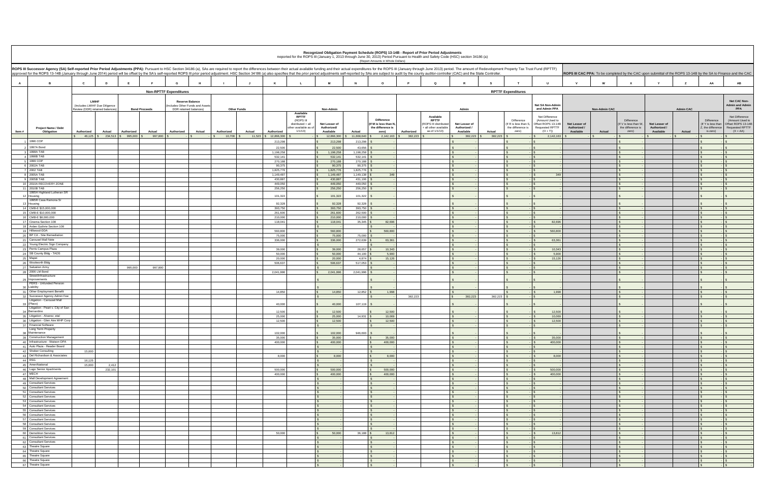|                                                                                                                                                                                                                                                                                                                                                                                                                                                                  |                                                                 |                              |         |                                                          |               |                      |                    |                        |                                | Recognized Obligation Payment Schedule (ROPS) 13-14B - Report of Prior Period Adjustments<br>Reported for the ROPS III (January 1, 2013 through June 30, 2013) Period Pursuant to Health and Safety Code (HSC) section 34186 (a) |                                     | (Report Amounts in Whole Dollars)       |            |                                      |                                    |         |                                   |                                       |                           |                      |                                   |                           |                  |                                 |                                                                                                                 |
|------------------------------------------------------------------------------------------------------------------------------------------------------------------------------------------------------------------------------------------------------------------------------------------------------------------------------------------------------------------------------------------------------------------------------------------------------------------|-----------------------------------------------------------------|------------------------------|---------|----------------------------------------------------------|---------------|----------------------|--------------------|------------------------|--------------------------------|----------------------------------------------------------------------------------------------------------------------------------------------------------------------------------------------------------------------------------|-------------------------------------|-----------------------------------------|------------|--------------------------------------|------------------------------------|---------|-----------------------------------|---------------------------------------|---------------------------|----------------------|-----------------------------------|---------------------------|------------------|---------------------------------|-----------------------------------------------------------------------------------------------------------------|
| ROPS III Successor Agency (SA) Self-reported Prior Period Adjustments (PPA): Pursuant to HSC Section 34186 (a), SAs are required to report the differences between their actual available funding and their actual expenditure<br>approved for the ROPS 13-14B (January through June 2014) period will be offset by the SA's self-reported ROPS III prior period adjustment. HSC Section 34186 (a) also specifies that the prior period adjustments self-reporte |                                                                 |                              |         |                                                          |               |                      |                    |                        |                                |                                                                                                                                                                                                                                  |                                     |                                         |            |                                      |                                    |         |                                   |                                       |                           |                      |                                   |                           |                  |                                 | ROPS III CAC PPA: To be completed by the CAC upon submittal of the ROPS 13-14B by the SA to Finance and the CAC |
|                                                                                                                                                                                                                                                                                                                                                                                                                                                                  |                                                                 |                              |         |                                                          |               |                      |                    |                        |                                |                                                                                                                                                                                                                                  |                                     |                                         |            |                                      |                                    |         |                                   |                                       |                           |                      |                                   |                           |                  |                                 |                                                                                                                 |
| $\mathbf{A}$<br>B                                                                                                                                                                                                                                                                                                                                                                                                                                                | C                                                               | D                            |         |                                                          |               |                      |                    | K                      |                                |                                                                                                                                                                                                                                  |                                     |                                         |            | $\Omega$                             |                                    |         |                                   |                                       |                           |                      |                                   |                           |                  | AA                              | AB                                                                                                              |
|                                                                                                                                                                                                                                                                                                                                                                                                                                                                  |                                                                 |                              |         | <b>Non-RPTTF Expenditures</b>                            |               |                      |                    |                        |                                |                                                                                                                                                                                                                                  |                                     |                                         |            |                                      |                                    |         | <b>RPTTF Expenditures</b>         |                                       |                           |                      |                                   |                           |                  |                                 |                                                                                                                 |
|                                                                                                                                                                                                                                                                                                                                                                                                                                                                  | <b>LMIHF</b>                                                    |                              |         | <b>Reserve Balance</b>                                   |               |                      |                    |                        |                                |                                                                                                                                                                                                                                  |                                     |                                         |            |                                      |                                    |         |                                   |                                       |                           |                      |                                   |                           |                  |                                 | Net CAC Non-                                                                                                    |
|                                                                                                                                                                                                                                                                                                                                                                                                                                                                  | (Includes LMIHF Due Diligence<br>Review (DDR) retained balances | <b>Bond Proceeds</b>         |         | ncludes Other Funds and Assets<br>DDR retained balances) |               |                      | <b>Other Funds</b> |                        |                                | Non-Admin                                                                                                                                                                                                                        |                                     |                                         |            |                                      | Admin                              |         |                                   | Net SA Non-Admin<br>and Admin PPA     |                           | <b>Non-Admin CAC</b> |                                   |                           | <b>Admin CAC</b> |                                 | <b>Admin and Admin</b><br><b>PPA</b>                                                                            |
|                                                                                                                                                                                                                                                                                                                                                                                                                                                                  |                                                                 |                              |         |                                                          |               |                      |                    |                        | Available<br><b>RPTTF</b>      |                                                                                                                                                                                                                                  |                                     |                                         |            | Available                            |                                    |         |                                   | Net Difference                        |                           |                      |                                   |                           |                  |                                 | Net Difference                                                                                                  |
|                                                                                                                                                                                                                                                                                                                                                                                                                                                                  |                                                                 |                              |         |                                                          |               |                      |                    |                        | (ROPS III<br>distributed + all | Net Lesser of                                                                                                                                                                                                                    |                                     | <b>Difference</b><br>f M is less than N |            | <b>RPTTF</b><br>ROPS III distributed | Net Lesser of                      |         | Difference<br>If R is less than S | (Amount Used to<br>Offset ROPS 13-14B | Net Lesser of             |                      | Difference<br>If V is less than W | Net Lesser of             |                  | Difference<br>If Y is less than | (Amount Used to<br>Offset ROPS 13-14                                                                            |
| <b>Project Name / Debt</b><br>Item $#$<br>Obligation                                                                                                                                                                                                                                                                                                                                                                                                             | Authorized                                                      | Actual<br>Authorized         | Actual  | Authorized                                               | <b>Actual</b> | Authorized           | Actual             | Authorized             | ther available as of<br>1/1/13 | Authorized/<br>Available                                                                                                                                                                                                         | Actual                              | the difference is<br>zero)              | Authorized | all other available<br>as of 1/1/13) | Authorized /<br>Available          | Actual  | the difference is<br>zero)        | Requested RPTTF<br>$(O + T)$          | Authorized /<br>Available | Actual               | the difference is<br>zero)        | Authorized /<br>Available | Actual           | .the difference<br>is zero)     | <b>Requested RPTTF</b><br>$(X + AA)$                                                                            |
| 1996 COP                                                                                                                                                                                                                                                                                                                                                                                                                                                         |                                                                 | 46.125 \$ 234.513 \$ 995.000 | 997,800 |                                                          |               | 10.708<br>$\sqrt{S}$ | 11,523             | \$12,866,300           |                                | 12,866,300                                                                                                                                                                                                                       | 11,668,640                          | 2,142,163                               | 382,223    |                                      | 382,223                            | 382,223 |                                   | 2,142,163                             |                           |                      |                                   |                           |                  |                                 |                                                                                                                 |
| 2 1997A Bond                                                                                                                                                                                                                                                                                                                                                                                                                                                     |                                                                 |                              |         |                                                          |               |                      |                    | 213,298<br>22,500      |                                | 213,298<br>22,500                                                                                                                                                                                                                | 213,298<br>43.656                   |                                         |            |                                      |                                    |         |                                   |                                       |                           |                      |                                   |                           |                  |                                 |                                                                                                                 |
| 3 1998A TAB                                                                                                                                                                                                                                                                                                                                                                                                                                                      |                                                                 |                              |         |                                                          |               |                      |                    | 1,198,258              |                                | 1,198,258                                                                                                                                                                                                                        | 1,198,258                           |                                         |            |                                      | $\mathbf{s}$                       |         |                                   |                                       |                           |                      |                                   |                           |                  |                                 |                                                                                                                 |
| 4 1998B TAB<br>5 1999 COP                                                                                                                                                                                                                                                                                                                                                                                                                                        |                                                                 |                              |         |                                                          |               |                      |                    | 532,141<br>270,188     |                                | 532,141<br>270,188                                                                                                                                                                                                               | 532,141<br>270,188                  |                                         |            |                                      | S<br>$\mathbb{S}$                  |         |                                   |                                       |                           |                      | $\mathsf{L}$ s<br>$\mathfrak{L}$  |                           |                  |                                 |                                                                                                                 |
| 6 2002A TAB                                                                                                                                                                                                                                                                                                                                                                                                                                                      |                                                                 |                              |         |                                                          |               |                      |                    | 90,375                 |                                | 90,375                                                                                                                                                                                                                           | 90,375                              |                                         |            |                                      | $\mathbb{S}$                       |         |                                   |                                       |                           |                      | $\mathbf{s}$                      |                           |                  |                                 |                                                                                                                 |
| 7 2002 TAB<br>8 2005A TAB                                                                                                                                                                                                                                                                                                                                                                                                                                        |                                                                 |                              |         |                                                          |               |                      |                    | 1,825,776<br>1,149,487 |                                | 1,825,776<br>1,149,487                                                                                                                                                                                                           | 1,825,776<br>1,149,138              | 349                                     |            |                                      | $\mathbb{S}$<br>$\mathbf{s}$       |         |                                   | 349                                   |                           |                      | $\mathbf{s}$                      |                           |                  |                                 |                                                                                                                 |
| q 2005B TAB                                                                                                                                                                                                                                                                                                                                                                                                                                                      |                                                                 |                              |         |                                                          |               |                      |                    | 430,887                |                                | 430,887                                                                                                                                                                                                                          | 431,106                             |                                         |            |                                      | $\mathcal{L}$                      |         |                                   |                                       |                           |                      | $\sim$                            |                           |                  |                                 |                                                                                                                 |
| 10 2010A RECOVERY ZONE<br>11 2010B TAB                                                                                                                                                                                                                                                                                                                                                                                                                           |                                                                 |                              |         |                                                          |               |                      |                    | 449.050<br>256,250     |                                | 449,050<br>256,250                                                                                                                                                                                                               | 449,050<br>256,250                  |                                         |            |                                      | $\mathbf{s}$<br>$\mathcal{L}$      |         |                                   |                                       |                           |                      |                                   |                           |                  |                                 |                                                                                                                 |
| 1995H Highland Lutheran SR<br>12 Housing                                                                                                                                                                                                                                                                                                                                                                                                                         |                                                                 |                              |         |                                                          |               |                      |                    | 101.322                |                                | 101,322                                                                                                                                                                                                                          | 101,322                             |                                         |            |                                      |                                    |         |                                   |                                       |                           |                      |                                   |                           |                  |                                 |                                                                                                                 |
| 1995R Casa Ramona Sr                                                                                                                                                                                                                                                                                                                                                                                                                                             |                                                                 |                              |         |                                                          |               |                      |                    |                        |                                |                                                                                                                                                                                                                                  |                                     |                                         |            |                                      |                                    |         |                                   |                                       |                           |                      |                                   |                           |                  |                                 |                                                                                                                 |
| 13 Housing<br>14 CMB-E \$15,000,000                                                                                                                                                                                                                                                                                                                                                                                                                              |                                                                 |                              |         |                                                          |               |                      |                    | 92,328<br>393,750      |                                | 92,328<br>393,750                                                                                                                                                                                                                | 92,328<br>393,750                   |                                         |            |                                      | $\mathbb{S}$                       |         |                                   |                                       |                           |                      |                                   |                           |                  |                                 |                                                                                                                 |
| 15 CMB-E \$10,000,000                                                                                                                                                                                                                                                                                                                                                                                                                                            |                                                                 |                              |         |                                                          |               |                      |                    | 261,600                |                                | 261,600                                                                                                                                                                                                                          | 262,500                             |                                         |            |                                      | $\mathcal{L}$                      |         |                                   |                                       |                           |                      | $\mathcal{S}$                     |                           |                  |                                 |                                                                                                                 |
| 16 CMB-E \$8,000,000<br>17 Cinema Section 108                                                                                                                                                                                                                                                                                                                                                                                                                    |                                                                 |                              |         |                                                          |               |                      |                    | 210,000<br>118,041     |                                | 210,000<br>118,041                                                                                                                                                                                                               | 210,000<br>35,345                   | 82,696                                  |            |                                      | S<br>$\mathbf{s}$                  |         |                                   | 82.696                                |                           |                      | $\mathbf{s}$<br>$\mathsf{S}$      |                           |                  |                                 |                                                                                                                 |
| 18 Arden Guthrie Section 108                                                                                                                                                                                                                                                                                                                                                                                                                                     |                                                                 |                              |         |                                                          |               |                      |                    |                        |                                |                                                                                                                                                                                                                                  |                                     |                                         |            |                                      | $\mathbb{S}$                       |         |                                   |                                       |                           |                      | $\mathcal{S}$                     |                           |                  |                                 |                                                                                                                 |
| 19 Hillwood-DDA<br>20 BP CA - Site Remediation                                                                                                                                                                                                                                                                                                                                                                                                                   |                                                                 |                              |         |                                                          |               |                      |                    | 560,800<br>75,000      |                                | 560,800<br>75,000                                                                                                                                                                                                                | 75,000                              | 560,800                                 |            |                                      | $\mathbf{s}$<br>$\mathbb{S}$       |         |                                   | 560,800                               |                           |                      | $\mathsf{S}$<br>$\mathsf{S}$      |                           |                  |                                 |                                                                                                                 |
| 21 Carousel Mall Note                                                                                                                                                                                                                                                                                                                                                                                                                                            |                                                                 |                              |         |                                                          |               |                      |                    | 336,000                |                                | 336,000                                                                                                                                                                                                                          | 272,639                             | 63,361                                  |            |                                      | $\mathbf{s}$                       |         |                                   | 63,361                                |                           |                      | $\mathbf{s}$                      |                           |                  |                                 |                                                                                                                 |
| 22 Young Electric Sign Company<br>23 Perris Campus Plaza                                                                                                                                                                                                                                                                                                                                                                                                         |                                                                 |                              |         |                                                          |               |                      |                    | 39,000                 |                                | 39,000                                                                                                                                                                                                                           | 28.657                              | 10.343                                  |            |                                      | $\mathbf{\hat{S}}$<br>$\mathbf{S}$ |         |                                   | 10.343                                |                           |                      | $\hat{z}$<br>$\ddot{\epsilon}$    |                           |                  |                                 |                                                                                                                 |
| 24 SB County Bldg - TADS                                                                                                                                                                                                                                                                                                                                                                                                                                         |                                                                 |                              |         |                                                          |               |                      |                    | 50,000                 |                                | 50,000                                                                                                                                                                                                                           | 44,100                              | 5,900                                   |            |                                      | $\mathcal{S}$                      |         |                                   | 5,900                                 |                           |                      | $\sqrt{ }$                        |                           |                  |                                 |                                                                                                                 |
| 25 Mapei<br>26 Woolworth Bldg                                                                                                                                                                                                                                                                                                                                                                                                                                    |                                                                 |                              |         |                                                          |               |                      |                    | 20,000<br>506.637      |                                | 20,000<br>506.637                                                                                                                                                                                                                | 4,874<br>517.053                    | 15,126                                  |            |                                      | S<br>$\mathbf{s}$                  |         |                                   | 15,126                                |                           |                      | $\mathcal{S}$<br>$\mathsf{L}$ s   |                           |                  |                                 |                                                                                                                 |
| 27 Salvation Army                                                                                                                                                                                                                                                                                                                                                                                                                                                |                                                                 | 995,000                      | 997,800 |                                                          |               |                      |                    |                        |                                |                                                                                                                                                                                                                                  |                                     |                                         |            |                                      | $\mathbf{s}$                       |         |                                   |                                       |                           |                      |                                   |                           |                  |                                 |                                                                                                                 |
| 28 2006 LM Bond<br>Street/Infrastructure                                                                                                                                                                                                                                                                                                                                                                                                                         |                                                                 |                              |         |                                                          |               |                      |                    | 2,041,996              |                                | 2,041,996                                                                                                                                                                                                                        | 2,041,996                           |                                         |            |                                      | $\mathbf{s}$                       |         |                                   |                                       |                           |                      | $\mathbf{s}$                      |                           |                  |                                 |                                                                                                                 |
| 29 Improvements<br>PERS - Unfunded Pension                                                                                                                                                                                                                                                                                                                                                                                                                       |                                                                 |                              |         |                                                          |               |                      |                    |                        |                                |                                                                                                                                                                                                                                  |                                     |                                         |            |                                      |                                    |         |                                   |                                       |                           |                      |                                   |                           |                  |                                 |                                                                                                                 |
| Liability<br>31 Other Employment Benefit                                                                                                                                                                                                                                                                                                                                                                                                                         |                                                                 |                              |         |                                                          |               |                      |                    | 14,850                 |                                | 14,850                                                                                                                                                                                                                           | $12,852$ \$                         | 1.998                                   |            |                                      | $\mathbf{s}$                       |         |                                   | 1.998                                 |                           |                      |                                   |                           |                  |                                 |                                                                                                                 |
| 32 Successor Agency Admin Fee                                                                                                                                                                                                                                                                                                                                                                                                                                    |                                                                 |                              |         |                                                          |               |                      |                    |                        |                                | $\sim$                                                                                                                                                                                                                           |                                     |                                         | 382,223    |                                      | 382,223                            | 382,223 |                                   |                                       |                           |                      | $\mathsf{S}$                      |                           |                  |                                 |                                                                                                                 |
| Litigation - Carousel Mall<br>(Placo)<br>33                                                                                                                                                                                                                                                                                                                                                                                                                      |                                                                 |                              |         |                                                          |               |                      |                    | 40,000                 |                                | 40,000                                                                                                                                                                                                                           | 107.119                             |                                         |            |                                      |                                    |         |                                   |                                       |                           |                      |                                   |                           |                  |                                 |                                                                                                                 |
| Litigation - Peart v. City of San<br>Bernardino                                                                                                                                                                                                                                                                                                                                                                                                                  |                                                                 |                              |         |                                                          |               |                      |                    | 12,500                 |                                | 12,500                                                                                                                                                                                                                           |                                     | 12,500                                  |            |                                      |                                    |         |                                   | 12,500                                |                           |                      |                                   |                           |                  |                                 |                                                                                                                 |
| 35 Litigation - Alvarez, etal                                                                                                                                                                                                                                                                                                                                                                                                                                    |                                                                 |                              |         |                                                          |               |                      |                    | 25,000                 |                                | 25,000                                                                                                                                                                                                                           | 14.931                              | 10.069                                  |            |                                      | $\mathbf{s}$                       |         |                                   | 10.069                                |                           |                      |                                   |                           |                  |                                 |                                                                                                                 |
| 36 Litigation - Glen Aire MHP Corp<br><b>Financial Sultwa</b>                                                                                                                                                                                                                                                                                                                                                                                                    |                                                                 |                              |         |                                                          |               |                      |                    | 12,500                 |                                | 12,500                                                                                                                                                                                                                           |                                     | 12,500                                  |            |                                      | $\mathbb{S}$                       |         |                                   | 12,500                                |                           |                      | $\mathsf{I}$ s                    |                           |                  |                                 |                                                                                                                 |
| Long Term Property<br>Maintenance<br>38                                                                                                                                                                                                                                                                                                                                                                                                                          |                                                                 |                              |         |                                                          |               |                      |                    | 102.000                |                                | 102,000                                                                                                                                                                                                                          | 946.693                             |                                         |            |                                      |                                    |         |                                   |                                       |                           |                      |                                   |                           |                  |                                 |                                                                                                                 |
| 39 Construction Management                                                                                                                                                                                                                                                                                                                                                                                                                                       |                                                                 |                              |         |                                                          |               |                      |                    | 35,000                 |                                | 35,000                                                                                                                                                                                                                           |                                     | 35,000                                  |            |                                      | $\mathbf{s}$                       |         |                                   | 35,000                                |                           |                      | $\vert$ \$                        |                           |                  |                                 |                                                                                                                 |
| 40 Infrastructure - Watson OPA<br>41 Auto Plaza - Reader Board                                                                                                                                                                                                                                                                                                                                                                                                   |                                                                 |                              |         |                                                          |               |                      |                    | 400,000                |                                | 400,000<br>$\sqrt{S}$                                                                                                                                                                                                            |                                     | 400,000<br>$\mathcal{S}$                |            |                                      | $\mathbb{S}$<br>$\sqrt{5}$         |         | $\sim$                            | 400,000                               |                           |                      | $\mathbf{s}$<br>$\sqrt{S}$        |                           |                  |                                 |                                                                                                                 |
| 42 Shober Consulting                                                                                                                                                                                                                                                                                                                                                                                                                                             | 15,000                                                          |                              |         |                                                          |               |                      |                    |                        |                                | $\sim$                                                                                                                                                                                                                           | $\mathcal{L}$                       |                                         |            |                                      | $\sqrt{5}$                         |         |                                   |                                       |                           |                      | $\sqrt{ }$                        |                           |                  |                                 |                                                                                                                 |
| 43 Del Richardson & Associates<br>44 RSG                                                                                                                                                                                                                                                                                                                                                                                                                         | 16.125                                                          |                              |         |                                                          |               |                      |                    | 8,000                  |                                | 8,000<br>$\mathbf{s}$                                                                                                                                                                                                            |                                     | 8,000<br>$\mathcal{S}$                  |            |                                      | $\mathcal{S}$<br>$\mathbf{s}$      |         | $\sim$                            | 8,000                                 |                           |                      | $\mathsf{S}$<br>$\sqrt{S}$        |                           |                  |                                 |                                                                                                                 |
| 45 AmeriNational                                                                                                                                                                                                                                                                                                                                                                                                                                                 | 15,000                                                          | 2,412                        |         |                                                          |               |                      |                    |                        |                                | $\mathbf{s}$                                                                                                                                                                                                                     | $\mathcal{L}$                       |                                         |            |                                      | $\sqrt{5}$                         |         |                                   |                                       |                           |                      | $\sqrt{s}$                        |                           |                  |                                 |                                                                                                                 |
| 46 Lugo Senior Apartments<br>47 MECH                                                                                                                                                                                                                                                                                                                                                                                                                             |                                                                 | 232,101                      |         |                                                          |               |                      |                    | 500,000<br>400,000     |                                | 500,000<br>$\mathbf{s}$<br>400,000                                                                                                                                                                                               |                                     | 500,000<br>400,000                      |            |                                      | $\mathsf{s}$<br>$\sqrt{3}$         |         |                                   | 500,000<br>400,000                    |                           |                      | $\sqrt{s}$<br>$\mathsf{L}$ s      |                           |                  |                                 |                                                                                                                 |
| 48 Mall Development Agreement                                                                                                                                                                                                                                                                                                                                                                                                                                    |                                                                 |                              |         |                                                          |               |                      |                    |                        |                                | $\mathcal{S}$                                                                                                                                                                                                                    | $\mathbf{s}$                        |                                         |            |                                      | $\mathcal{S}$                      |         |                                   |                                       |                           |                      | $\mathsf{S}$                      |                           |                  |                                 |                                                                                                                 |
| 49 Consultant Services<br>50 Consultant Services                                                                                                                                                                                                                                                                                                                                                                                                                 |                                                                 |                              |         |                                                          |               |                      |                    |                        |                                | $\mathbf{s}$<br>$\sqrt{S}$                                                                                                                                                                                                       |                                     | $\mathbf{s}$<br>S                       |            |                                      | $\mathcal{S}$<br>$\sqrt{5}$        |         | $\epsilon$                        |                                       |                           |                      | $\sqrt{S}$<br>$\sqrt{s}$          |                           |                  |                                 |                                                                                                                 |
| 51 Consultant Services                                                                                                                                                                                                                                                                                                                                                                                                                                           |                                                                 |                              |         |                                                          |               |                      |                    |                        |                                | $\sqrt{S}$                                                                                                                                                                                                                       |                                     | $\mathbf{s}$                            |            |                                      | $\sqrt{3}$                         |         |                                   |                                       |                           |                      | $\sqrt{s}$                        |                           |                  |                                 |                                                                                                                 |
| 52 Consultant Services<br>53 Consultant Services                                                                                                                                                                                                                                                                                                                                                                                                                 |                                                                 |                              |         |                                                          |               |                      |                    |                        |                                | $\sqrt{S}$<br>$\mathsf{s}$                                                                                                                                                                                                       |                                     | $\mathcal{S}$<br>$\mathsf{s}$           |            |                                      | $\mathcal{S}$<br>$\mathsf{S}$      |         | $\sim$                            |                                       |                           |                      | $\mathbf{s}$<br>$\mathsf{S}$      |                           |                  |                                 |                                                                                                                 |
| 54 Consultant Services                                                                                                                                                                                                                                                                                                                                                                                                                                           |                                                                 |                              |         |                                                          |               |                      |                    |                        |                                | $\mathbf{s}$                                                                                                                                                                                                                     |                                     | S                                       |            |                                      | $\sqrt{5}$                         |         |                                   |                                       |                           |                      | $\mathsf{S}$                      |                           |                  |                                 |                                                                                                                 |
| 55 Consultant Services<br>56 Consultant Services                                                                                                                                                                                                                                                                                                                                                                                                                 |                                                                 |                              |         |                                                          |               |                      |                    |                        |                                | $\sqrt{S}$<br>$\sqrt{S}$                                                                                                                                                                                                         | $\mathbf{s}$                        | $\sqrt{5}$                              |            |                                      | $\sqrt{S}$<br>$\mathsf{S}$         |         | $\mathbf{s}$                      | IS.                                   |                           |                      | $\sqrt{S}$<br>$\mathsf{L}$ s      |                           |                  |                                 |                                                                                                                 |
| 57 Consultant Services                                                                                                                                                                                                                                                                                                                                                                                                                                           |                                                                 |                              |         |                                                          |               |                      |                    |                        |                                | $\sqrt{S}$                                                                                                                                                                                                                       |                                     | $\mathbb{S}$                            |            |                                      | $\mathcal{S}$                      |         |                                   |                                       |                           |                      | $\vert$ s                         |                           |                  |                                 |                                                                                                                 |
| 58 Consultant Services<br>59 Consultant Services                                                                                                                                                                                                                                                                                                                                                                                                                 |                                                                 |                              |         |                                                          |               |                      |                    |                        |                                | $\sqrt{S}$<br>$\mathbf{s}$                                                                                                                                                                                                       | $\mathbf{s}$                        |                                         |            |                                      | $\mathbf{s}$<br>$\mathcal{S}$      |         |                                   |                                       |                           |                      | $\sqrt{S}$<br>$\mathsf{S}$        |                           |                  |                                 |                                                                                                                 |
| 60 Demolition Services                                                                                                                                                                                                                                                                                                                                                                                                                                           |                                                                 |                              |         |                                                          |               |                      |                    | 50,000                 |                                | 50,000<br>$\sim$                                                                                                                                                                                                                 | $36,188$ \$                         | 13,812                                  |            |                                      | $\mathsf{s}$                       |         | $\sim$                            | 13,812                                |                           |                      | $\mathsf{S}$                      |                           |                  |                                 |                                                                                                                 |
| 61 Consultant Services<br>62 Consultant Services                                                                                                                                                                                                                                                                                                                                                                                                                 |                                                                 |                              |         |                                                          |               |                      |                    |                        |                                | $\sim$<br>$\mathsf{s}$                                                                                                                                                                                                           | $\mathcal{L}$<br>$\mathsf{S}$       |                                         |            |                                      | S<br>$\mathsf{s}$                  |         | $\sim$                            |                                       |                           |                      | $\mathcal{S}$<br>$\sqrt{S}$       |                           |                  |                                 |                                                                                                                 |
| 63 Theatre Square                                                                                                                                                                                                                                                                                                                                                                                                                                                |                                                                 |                              |         |                                                          |               |                      |                    |                        |                                | $\mathsf{s}$                                                                                                                                                                                                                     | $\mathbf{s}$                        |                                         |            |                                      | $\mathbf{s}$                       |         |                                   |                                       |                           |                      | $\mathbf{s}$                      |                           |                  |                                 |                                                                                                                 |
| 64 Theatre Square<br>65 Theatre Square                                                                                                                                                                                                                                                                                                                                                                                                                           |                                                                 |                              |         |                                                          |               |                      |                    |                        |                                | $\sqrt{S}$<br>$\mathsf{s}$                                                                                                                                                                                                       | $\mathbf{s}$                        | $\sqrt{5}$                              |            |                                      | $\sqrt{5}$<br>$\sqrt{3}$           |         |                                   |                                       |                           |                      | $\sqrt{S}$<br>$\mathsf{S}$        |                           |                  |                                 |                                                                                                                 |
| 66 Theatre Square                                                                                                                                                                                                                                                                                                                                                                                                                                                |                                                                 |                              |         |                                                          |               |                      |                    |                        |                                | $\sqrt{S}$<br>$\sim$                                                                                                                                                                                                             | $\mathbb{S}$<br>$\hat{\mathcal{L}}$ |                                         |            |                                      | $\mathbf{s}$<br>$\mathcal{L}$      |         |                                   |                                       |                           |                      | $\mathsf{I}$ s<br>$\sim$          |                           |                  |                                 |                                                                                                                 |
| 67 Theatre Square                                                                                                                                                                                                                                                                                                                                                                                                                                                |                                                                 |                              |         |                                                          |               |                      |                    |                        |                                |                                                                                                                                                                                                                                  |                                     |                                         |            |                                      |                                    |         |                                   |                                       |                           |                      |                                   |                           |                  |                                 |                                                                                                                 |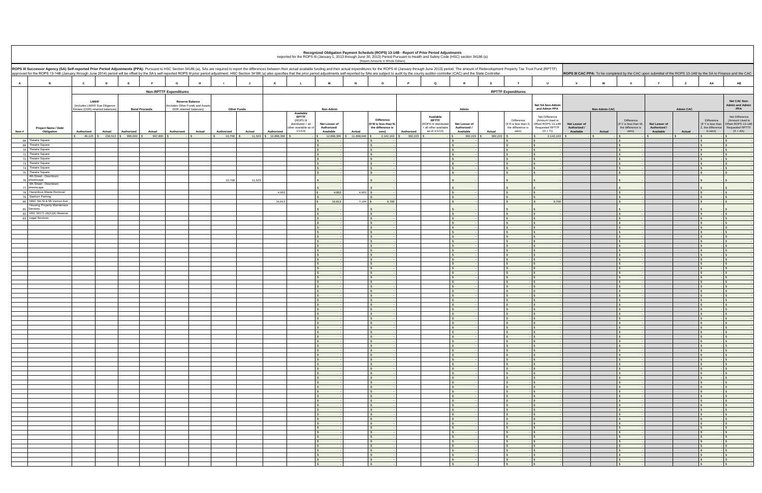|                |                                                                                                                                                                                                                                                                                                                                                                                                                                                                  |              |                                |            |                      |                                                          |                      |                    |                      |                                                                                                |                                           |              | (Report Amounts in Whole Dollars)                                        |            | Recognized Obligation Payment Schedule (ROPS) 13-14B - Report of Prior Period Adjustments<br>Reported for the ROPS III (January 1, 2013 through June 30, 2013) Period Pursuant to Health and Safety Code (HSC) section 34186 (a) |                                            |               |                                                                  |                                                                                         |                                            |                      |                                                                                                                 |                                            |                  |                                                                 |                                                                                                |
|----------------|------------------------------------------------------------------------------------------------------------------------------------------------------------------------------------------------------------------------------------------------------------------------------------------------------------------------------------------------------------------------------------------------------------------------------------------------------------------|--------------|--------------------------------|------------|----------------------|----------------------------------------------------------|----------------------|--------------------|----------------------|------------------------------------------------------------------------------------------------|-------------------------------------------|--------------|--------------------------------------------------------------------------|------------|----------------------------------------------------------------------------------------------------------------------------------------------------------------------------------------------------------------------------------|--------------------------------------------|---------------|------------------------------------------------------------------|-----------------------------------------------------------------------------------------|--------------------------------------------|----------------------|-----------------------------------------------------------------------------------------------------------------|--------------------------------------------|------------------|-----------------------------------------------------------------|------------------------------------------------------------------------------------------------|
|                | ROPS III Successor Agency (SA) Self-reported Prior Period Adjustments (PPA): Pursuant to HSC Section 34186 (a), SAs are required to report the differences between their actual available funding and their actual expenditure<br>approved for the ROPS 13-14B (January through June 2014) period will be offset by the SA's self-reported ROPS III prior period adjustment. HSC Section 34186 (a) also specifies that the prior period adjustments self-reporte |              |                                |            |                      |                                                          |                      |                    |                      |                                                                                                |                                           |              |                                                                          |            |                                                                                                                                                                                                                                  |                                            |               |                                                                  |                                                                                         |                                            |                      | ROPS III CAC PPA: To be completed by the CAC upon submittal of the ROPS 13-14B by the SA to Finance and the CAC |                                            |                  |                                                                 |                                                                                                |
|                |                                                                                                                                                                                                                                                                                                                                                                                                                                                                  |              |                                |            |                      |                                                          |                      |                    |                      |                                                                                                |                                           |              |                                                                          |            |                                                                                                                                                                                                                                  |                                            |               |                                                                  |                                                                                         |                                            |                      |                                                                                                                 |                                            |                  |                                                                 |                                                                                                |
| $\overline{A}$ | $\overline{B}$                                                                                                                                                                                                                                                                                                                                                                                                                                                   | $\mathbf{c}$ | D                              | E          |                      | G<br>н                                                   |                      |                    | K                    |                                                                                                | M                                         | <b>N</b>     | $\circ$                                                                  |            | $\mathbf Q$                                                                                                                                                                                                                      | $\mathsf{R}$                               | s             | T                                                                | $\mathbf{U}$                                                                            |                                            | W                    | $\mathbf{x}$                                                                                                    | $\mathbf{v}$                               | z                | AA                                                              | <b>AB</b>                                                                                      |
|                |                                                                                                                                                                                                                                                                                                                                                                                                                                                                  |              |                                |            |                      | <b>Non-RPTTF Expenditures</b>                            |                      |                    |                      |                                                                                                |                                           |              |                                                                          |            |                                                                                                                                                                                                                                  |                                            |               | <b>RPTTF Expenditures</b>                                        |                                                                                         |                                            |                      |                                                                                                                 |                                            |                  |                                                                 |                                                                                                |
|                |                                                                                                                                                                                                                                                                                                                                                                                                                                                                  | <b>LMIHF</b> | (Includes LMIHF Due Diligence  |            |                      | <b>Reserve Balance</b><br>ncludes Other Funds and Assets |                      |                    |                      |                                                                                                |                                           |              |                                                                          |            |                                                                                                                                                                                                                                  |                                            |               |                                                                  | Net SA Non-Admin                                                                        |                                            |                      |                                                                                                                 |                                            |                  |                                                                 | Net CAC Non-<br><b>Admin and Admin</b>                                                         |
|                |                                                                                                                                                                                                                                                                                                                                                                                                                                                                  |              | Review (DDR) retained balances |            | <b>Bond Proceeds</b> | DDR retained balances)                                   |                      | <b>Other Funds</b> |                      |                                                                                                | Non-Admin                                 |              |                                                                          |            |                                                                                                                                                                                                                                  | Admin                                      |               |                                                                  | and Admin PPA                                                                           |                                            | <b>Non-Admin CAC</b> |                                                                                                                 |                                            | <b>Admin CAC</b> |                                                                 | <b>PPA</b>                                                                                     |
| Item #         | Project Name / Debt<br>Obligation                                                                                                                                                                                                                                                                                                                                                                                                                                | Authorized   | <b>Actual</b>                  | Authorized | <b>Actual</b>        | Authorized<br><b>Actual</b>                              | Authorized           | Actual             | Authorized           | Available<br><b>RPTTF</b><br>(ROPS III<br>distributed + all<br>other available as of<br>1/1/13 | Net Lesser of<br>Authorized/<br>Available | Actual       | <b>Difference</b><br>(If M is less than N,<br>the difference is<br>zero) | Authorized | Available<br><b>RPTTF</b><br>ROPS III distributed<br>all other available<br>as of 1/1/13)                                                                                                                                        | Net Lesser of<br>Authorized /<br>Available | <b>Actual</b> | Difference<br>(If R is less than S<br>the difference is<br>zero) | Net Difference<br>(Amount Used to<br>Offset ROPS 13-14B<br>Requested RPTTF<br>$(O + T)$ | Net Lesser of<br>Authorized /<br>Available | Actual               | Difference<br>(If V is less than W<br>the difference is<br>zero)                                                | Net Lesser of<br>Authorized /<br>Available | Actual           | Difference<br>If Y is less than<br>, the difference<br>is zero) | Net Difference<br>(Amount Used to<br>Offset ROPS 13-14<br><b>Requested RPTTF</b><br>$(X + AA)$ |
|                |                                                                                                                                                                                                                                                                                                                                                                                                                                                                  |              | 46,125 \$ 234,513 \$ 995,000   |            | 997,800              |                                                          | 10,708<br>$\sqrt{s}$ |                    | 11,523 \$ 12,866,300 |                                                                                                | 12,866,300                                | \$11,668,640 | $2,142,163$ \$                                                           | 382,223    |                                                                                                                                                                                                                                  | 382,223                                    | $382,223$ \$  |                                                                  | 2,142,163                                                                               |                                            |                      |                                                                                                                 |                                            |                  |                                                                 |                                                                                                |
| 69             | 68 Theatre Square<br>Theatre Square                                                                                                                                                                                                                                                                                                                                                                                                                              |              |                                |            |                      |                                                          |                      |                    |                      |                                                                                                | $\sim$                                    |              | $\mathbf{s}$                                                             |            |                                                                                                                                                                                                                                  | s.<br>$\hat{\mathbf{r}}$                   |               | $\sim$                                                           |                                                                                         |                                            |                      | $\mathsf{L}$ s                                                                                                  |                                            |                  |                                                                 |                                                                                                |
|                | 70 Theatre Square                                                                                                                                                                                                                                                                                                                                                                                                                                                |              |                                |            |                      |                                                          |                      |                    |                      |                                                                                                |                                           |              | $\mathbf{s}$                                                             |            |                                                                                                                                                                                                                                  | $\mathbf{s}$                               |               | $\sim$                                                           |                                                                                         |                                            |                      | $\mathcal{L}$                                                                                                   |                                            |                  |                                                                 |                                                                                                |
|                | 71 Theatre Square<br>72 Theatre Square                                                                                                                                                                                                                                                                                                                                                                                                                           |              |                                |            |                      |                                                          |                      |                    |                      |                                                                                                |                                           |              | $\mathbb{R}$<br>$\mathbf{s}$                                             |            |                                                                                                                                                                                                                                  | $\hat{\mathbf{r}}$<br>$\mathbf{s}$         |               | I S.<br>$\sim$                                                   |                                                                                         |                                            |                      | $\mathbf{S}$<br>$\mathcal{L}$                                                                                   |                                            |                  |                                                                 |                                                                                                |
|                | 73 Theatre Square                                                                                                                                                                                                                                                                                                                                                                                                                                                |              |                                |            |                      |                                                          |                      |                    |                      |                                                                                                | $\mathbf{s}$                              |              | $\mathsf{s}$                                                             |            |                                                                                                                                                                                                                                  | $\mathbf{s}$                               |               | $\mathbf{s}$                                                     |                                                                                         |                                            |                      | $\mathsf{I}$                                                                                                    |                                            |                  |                                                                 |                                                                                                |
|                | 74 Theatre Square                                                                                                                                                                                                                                                                                                                                                                                                                                                |              |                                |            |                      |                                                          |                      |                    |                      |                                                                                                |                                           |              | $\mathbf{s}$                                                             |            |                                                                                                                                                                                                                                  | $\mathbf{s}$                               |               | $\mathbf{s}$                                                     |                                                                                         |                                            |                      | $\mathbf{s}$                                                                                                    |                                            |                  |                                                                 |                                                                                                |
|                | 75 Theatre Square<br>4th Street - Downtown                                                                                                                                                                                                                                                                                                                                                                                                                       |              |                                |            |                      |                                                          |                      |                    |                      |                                                                                                |                                           |              | $\sqrt{S}$                                                               |            |                                                                                                                                                                                                                                  | $\mathfrak{L}$                             |               |                                                                  |                                                                                         |                                            |                      | $\mathbf{s}$                                                                                                    |                                            |                  |                                                                 |                                                                                                |
|                | 76 streetscape<br>4th Street - Downtown                                                                                                                                                                                                                                                                                                                                                                                                                          |              |                                |            |                      |                                                          | 10.708               | 11.523             |                      |                                                                                                |                                           |              |                                                                          |            |                                                                                                                                                                                                                                  |                                            |               |                                                                  |                                                                                         |                                            |                      |                                                                                                                 |                                            |                  |                                                                 |                                                                                                |
|                | 77 streetscape                                                                                                                                                                                                                                                                                                                                                                                                                                                   |              |                                |            |                      |                                                          |                      |                    |                      |                                                                                                |                                           |              |                                                                          |            |                                                                                                                                                                                                                                  |                                            |               |                                                                  |                                                                                         |                                            |                      |                                                                                                                 |                                            |                  |                                                                 |                                                                                                |
|                | 78 Hazardous Waste Removal<br>79 Stadium Parking                                                                                                                                                                                                                                                                                                                                                                                                                 |              |                                |            |                      |                                                          |                      |                    | 4,953                |                                                                                                | 4,953                                     | $4,953$ \$   | <b>S</b>                                                                 |            |                                                                                                                                                                                                                                  | $\mathfrak{L}$<br>$\mathbf{s}$             |               | $\mathbf{s}$                                                     |                                                                                         |                                            |                      | $\vert$ s                                                                                                       |                                            |                  |                                                                 |                                                                                                |
|                | 80 NWC 5th St & Mt Vernon Ave                                                                                                                                                                                                                                                                                                                                                                                                                                    |              |                                |            |                      |                                                          |                      |                    | 16,813               |                                                                                                | 16,813                                    | $7,104$ \.   | 9,709                                                                    |            |                                                                                                                                                                                                                                  | $\mathfrak{S}$                             |               |                                                                  | 9,709                                                                                   |                                            |                      | $\mathcal{S}$                                                                                                   |                                            |                  |                                                                 |                                                                                                |
|                | Housing Property Maintenace<br>81 Services                                                                                                                                                                                                                                                                                                                                                                                                                       |              |                                |            |                      |                                                          |                      |                    |                      |                                                                                                |                                           |              |                                                                          |            |                                                                                                                                                                                                                                  |                                            |               |                                                                  |                                                                                         |                                            |                      |                                                                                                                 |                                            |                  |                                                                 |                                                                                                |
|                | 82 HSC 34171 (d)(1)(A) Reserve                                                                                                                                                                                                                                                                                                                                                                                                                                   |              |                                |            |                      |                                                          |                      |                    |                      |                                                                                                |                                           |              | $\mathsf{S}$                                                             |            |                                                                                                                                                                                                                                  | $\mathfrak{L}$                             |               |                                                                  |                                                                                         |                                            |                      | $\mathsf{S}$                                                                                                    |                                            |                  |                                                                 |                                                                                                |
|                | 83 Legal Services                                                                                                                                                                                                                                                                                                                                                                                                                                                |              |                                |            |                      |                                                          |                      |                    |                      |                                                                                                |                                           |              | $\mathcal{L}$<br>$\mathbf{s}$                                            |            |                                                                                                                                                                                                                                  | $\hat{\mathbf{S}}$<br>$\mathbf{s}$         |               |                                                                  |                                                                                         |                                            |                      | $\mathcal{S}$                                                                                                   |                                            |                  |                                                                 |                                                                                                |
|                |                                                                                                                                                                                                                                                                                                                                                                                                                                                                  |              |                                |            |                      |                                                          |                      |                    |                      |                                                                                                | $\sim$                                    |              | S <sub>S</sub>                                                           |            |                                                                                                                                                                                                                                  | $\hat{\mathbf{r}}$                         |               | $\sim$                                                           |                                                                                         |                                            |                      | $\sim$                                                                                                          |                                            |                  |                                                                 |                                                                                                |
|                |                                                                                                                                                                                                                                                                                                                                                                                                                                                                  |              |                                |            |                      |                                                          |                      |                    |                      |                                                                                                | $\sim$                                    |              | $\mathbf{s}$<br>$\mathcal{S}$                                            |            |                                                                                                                                                                                                                                  | $\mathbf{S}$<br>$\hat{\mathbf{r}}$         |               | $\sim$<br>$\sim$                                                 |                                                                                         |                                            |                      | $\mathcal{L}$<br>$\sim$                                                                                         |                                            |                  |                                                                 |                                                                                                |
|                |                                                                                                                                                                                                                                                                                                                                                                                                                                                                  |              |                                |            |                      |                                                          |                      |                    |                      |                                                                                                |                                           |              | S <sub>S</sub>                                                           |            |                                                                                                                                                                                                                                  | $\mathbf{s}$                               |               | $\sim$                                                           |                                                                                         |                                            |                      | $\mathcal{S}$                                                                                                   |                                            |                  |                                                                 |                                                                                                |
|                |                                                                                                                                                                                                                                                                                                                                                                                                                                                                  |              |                                |            |                      |                                                          |                      |                    |                      |                                                                                                | $\sim$                                    |              | $\sqrt{S}$<br>$\mathbf{s}$                                               |            |                                                                                                                                                                                                                                  | $\mathbf{s}$<br>$\mathfrak{L}$             |               | $\mathbf{s}$                                                     |                                                                                         |                                            |                      | $\mathsf{I}$<br>$\mathcal{S}$                                                                                   |                                            |                  |                                                                 |                                                                                                |
|                |                                                                                                                                                                                                                                                                                                                                                                                                                                                                  |              |                                |            |                      |                                                          |                      |                    |                      |                                                                                                |                                           |              | $\mathbf{s}$                                                             |            |                                                                                                                                                                                                                                  | $\mathfrak{L}$                             |               |                                                                  |                                                                                         |                                            |                      | $\mathcal{S}$                                                                                                   |                                            |                  |                                                                 |                                                                                                |
|                |                                                                                                                                                                                                                                                                                                                                                                                                                                                                  |              |                                |            |                      |                                                          |                      |                    |                      |                                                                                                |                                           |              | $\mathbf{s}$                                                             |            |                                                                                                                                                                                                                                  | $\mathbb{S}$                               |               |                                                                  |                                                                                         |                                            |                      | $\mathcal{S}$                                                                                                   |                                            |                  |                                                                 |                                                                                                |
|                |                                                                                                                                                                                                                                                                                                                                                                                                                                                                  |              |                                |            |                      |                                                          |                      |                    |                      |                                                                                                | $\mathbf{s}$                              |              | $\sqrt{S}$<br>$\sqrt{5}$                                                 |            |                                                                                                                                                                                                                                  | $\mathbf{s}$<br>$\mathbf{s}$               |               | $\sim$                                                           |                                                                                         |                                            |                      | $\mathbf{s}$<br>$\sqrt{s}$                                                                                      |                                            |                  |                                                                 |                                                                                                |
|                |                                                                                                                                                                                                                                                                                                                                                                                                                                                                  |              |                                |            |                      |                                                          |                      |                    |                      |                                                                                                |                                           |              | $\mathsf{s}$                                                             |            |                                                                                                                                                                                                                                  | $\mathbf{s}$                               |               | $\sim$                                                           |                                                                                         |                                            |                      | $\mathcal{S}$                                                                                                   |                                            |                  |                                                                 |                                                                                                |
|                |                                                                                                                                                                                                                                                                                                                                                                                                                                                                  |              |                                |            |                      |                                                          |                      |                    |                      |                                                                                                | $\sim$                                    |              | $\mathsf{S}$<br>$\mathsf{s}$                                             |            |                                                                                                                                                                                                                                  | $\mathfrak{L}$<br>$\mathbf{s}$             |               | $\mathbf{s}$<br>$\sim$                                           |                                                                                         |                                            |                      | $\mathsf{S}$<br>$\mathbf{S}$                                                                                    |                                            |                  |                                                                 |                                                                                                |
|                |                                                                                                                                                                                                                                                                                                                                                                                                                                                                  |              |                                |            |                      |                                                          |                      |                    |                      |                                                                                                | $\sim$                                    |              | $\sqrt{5}$                                                               |            |                                                                                                                                                                                                                                  | $\mathbf{s}$                               |               | $\sqrt{S}$                                                       |                                                                                         |                                            |                      | $\sqrt{S}$                                                                                                      |                                            |                  |                                                                 |                                                                                                |
|                |                                                                                                                                                                                                                                                                                                                                                                                                                                                                  |              |                                |            |                      |                                                          |                      |                    |                      |                                                                                                |                                           |              | $\sqrt{S}$<br>$\sqrt{S}$                                                 |            |                                                                                                                                                                                                                                  | $\mathbf{s}$<br>$\mathbf{s}$               |               | $\sim$                                                           |                                                                                         |                                            |                      | $\mathbf{s}$<br>$\mathbf{s}$                                                                                    |                                            |                  |                                                                 |                                                                                                |
|                |                                                                                                                                                                                                                                                                                                                                                                                                                                                                  |              |                                |            |                      |                                                          |                      |                    |                      |                                                                                                | $\sim$                                    |              | $\sqrt{S}$                                                               |            |                                                                                                                                                                                                                                  | $\mathbf{s}$                               |               | $\sim$                                                           |                                                                                         |                                            |                      | $\hat{\mathbf{r}}$                                                                                              |                                            |                  |                                                                 |                                                                                                |
|                |                                                                                                                                                                                                                                                                                                                                                                                                                                                                  |              |                                |            |                      |                                                          |                      |                    |                      |                                                                                                | $\sim$                                    |              | $\mathbf{s}$<br>S <sub>S</sub>                                           |            |                                                                                                                                                                                                                                  | $\mathbf{s}$<br>$\mathcal{L}$              |               | $\mathcal{S}$<br>$\sim$                                          |                                                                                         |                                            |                      | $\mathbf{s}$<br>$\sqrt{ }$                                                                                      |                                            |                  |                                                                 |                                                                                                |
|                |                                                                                                                                                                                                                                                                                                                                                                                                                                                                  |              |                                |            |                      |                                                          |                      |                    |                      |                                                                                                |                                           |              | $\hat{\mathbf{r}}$                                                       |            |                                                                                                                                                                                                                                  | $\hat{\mathbf{r}}$                         |               |                                                                  |                                                                                         |                                            |                      |                                                                                                                 |                                            |                  |                                                                 |                                                                                                |
|                |                                                                                                                                                                                                                                                                                                                                                                                                                                                                  |              |                                |            |                      |                                                          |                      |                    |                      |                                                                                                |                                           |              | $\mathsf{S}$                                                             |            |                                                                                                                                                                                                                                  | $\mathbf{s}$                               |               | $\sim$                                                           |                                                                                         |                                            |                      | $\mathbf{S}$                                                                                                    |                                            |                  |                                                                 |                                                                                                |
|                |                                                                                                                                                                                                                                                                                                                                                                                                                                                                  |              |                                |            |                      |                                                          |                      |                    |                      |                                                                                                | $\mathbf{s}$                              |              | $\mathbf{s}$<br>$\sqrt{S}$                                               |            |                                                                                                                                                                                                                                  | $\mathfrak{L}$<br>$\mathbf{s}$             |               | $\sqrt{s}$                                                       | $-1S$                                                                                   |                                            |                      | $\mathsf{L}$ s<br>$\sqrt{S}$                                                                                    |                                            |                  |                                                                 |                                                                                                |
|                |                                                                                                                                                                                                                                                                                                                                                                                                                                                                  |              |                                |            |                      |                                                          |                      |                    |                      |                                                                                                |                                           |              | $\sqrt{5}$                                                               |            |                                                                                                                                                                                                                                  | $\mathbf{s}$                               |               | S                                                                |                                                                                         |                                            |                      | $\sqrt{5}$                                                                                                      |                                            |                  |                                                                 |                                                                                                |
|                |                                                                                                                                                                                                                                                                                                                                                                                                                                                                  |              |                                |            |                      |                                                          |                      |                    |                      |                                                                                                | S<br>S                                    |              | $\sim$<br>S                                                              |            |                                                                                                                                                                                                                                  | S<br>$\mathsf{\$}$                         |               | S<br>S                                                           | $-$ \$                                                                                  |                                            |                      | $\sqrt{S}$<br>$\sqrt{S}$                                                                                        |                                            |                  |                                                                 |                                                                                                |
|                |                                                                                                                                                                                                                                                                                                                                                                                                                                                                  |              |                                |            |                      |                                                          |                      |                    |                      |                                                                                                | $\sim$                                    |              | $\sqrt{5}$                                                               |            |                                                                                                                                                                                                                                  | $\sqrt{3}$                                 |               | $\sim$                                                           |                                                                                         |                                            |                      | $\sqrt{S}$                                                                                                      |                                            |                  |                                                                 |                                                                                                |
|                |                                                                                                                                                                                                                                                                                                                                                                                                                                                                  |              |                                |            |                      |                                                          |                      |                    |                      |                                                                                                | S<br>$\mathsf{S}$                         |              | S<br>$\sqrt{5}$                                                          |            |                                                                                                                                                                                                                                  | $\mathbf{s}$<br>$\mathcal{S}$              |               | s<br>$\sim$                                                      | $ \frac{1}{2}$                                                                          |                                            |                      | $\mathsf{S}$<br>$\sqrt{5}$                                                                                      |                                            |                  |                                                                 |                                                                                                |
|                |                                                                                                                                                                                                                                                                                                                                                                                                                                                                  |              |                                |            |                      |                                                          |                      |                    |                      |                                                                                                | S                                         |              | $\mathbb{S}$                                                             |            |                                                                                                                                                                                                                                  | $\sqrt{5}$                                 |               | S                                                                | $-$ S                                                                                   |                                            |                      | $\sqrt{S}$                                                                                                      |                                            |                  |                                                                 | $\sim$                                                                                         |
|                |                                                                                                                                                                                                                                                                                                                                                                                                                                                                  |              |                                |            |                      |                                                          |                      |                    |                      |                                                                                                | S<br>$\mathbf{s}$                         |              | $\mathbb{S}$<br>$\sqrt{S}$                                               |            |                                                                                                                                                                                                                                  | $\sqrt{5}$<br>$\sqrt{5}$                   |               | $\sim$<br>S                                                      |                                                                                         |                                            |                      | $\sqrt{S}$<br>$\sqrt{S}$                                                                                        |                                            |                  |                                                                 |                                                                                                |
|                |                                                                                                                                                                                                                                                                                                                                                                                                                                                                  |              |                                |            |                      |                                                          |                      |                    |                      |                                                                                                | $\sqrt{S}$                                |              | $\sqrt{5}$                                                               |            |                                                                                                                                                                                                                                  | $\sqrt{5}$                                 |               | $\sim$                                                           | - IS                                                                                    |                                            |                      | $\sqrt{5}$                                                                                                      |                                            |                  |                                                                 |                                                                                                |
|                |                                                                                                                                                                                                                                                                                                                                                                                                                                                                  |              |                                |            |                      |                                                          |                      |                    |                      |                                                                                                | S<br>S                                    |              | $\mathbb{S}$<br>$\sqrt{5}$                                               |            |                                                                                                                                                                                                                                  | $\sqrt{5}$<br>$\mathcal{S}$                |               | $\sim$<br>S                                                      | $-$ S                                                                                   |                                            |                      | $\sqrt{S}$<br>$\sqrt{S}$                                                                                        |                                            |                  |                                                                 | $\mathcal{S}$                                                                                  |
|                |                                                                                                                                                                                                                                                                                                                                                                                                                                                                  |              |                                |            |                      |                                                          |                      |                    |                      |                                                                                                | S                                         |              | $\sqrt{5}$                                                               |            |                                                                                                                                                                                                                                  | $\mathsf{S}$                               |               | $\sim$                                                           |                                                                                         |                                            |                      | $\sqrt{S}$                                                                                                      |                                            |                  |                                                                 |                                                                                                |
|                |                                                                                                                                                                                                                                                                                                                                                                                                                                                                  |              |                                |            |                      |                                                          |                      |                    |                      |                                                                                                | S                                         |              | $\mathbb{S}$                                                             |            |                                                                                                                                                                                                                                  | $\mathbf{s}$                               |               | S                                                                | $-$ \$                                                                                  |                                            |                      | $\sqrt{S}$                                                                                                      |                                            |                  |                                                                 | $\sim$                                                                                         |
|                |                                                                                                                                                                                                                                                                                                                                                                                                                                                                  |              |                                |            |                      |                                                          |                      |                    |                      |                                                                                                | S<br>$\mathsf{s}$                         |              | $\mathbb{S}$<br>S                                                        |            |                                                                                                                                                                                                                                  | $\sqrt{5}$<br>$\mathsf{s}$                 |               | S<br>S                                                           | $-$ S                                                                                   |                                            |                      | $\sqrt{S}$<br>$\mathsf{S}$                                                                                      |                                            |                  |                                                                 |                                                                                                |
|                |                                                                                                                                                                                                                                                                                                                                                                                                                                                                  |              |                                |            |                      |                                                          |                      |                    |                      |                                                                                                | S                                         |              | $\sqrt{5}$                                                               |            |                                                                                                                                                                                                                                  | $\mathcal{S}$                              |               | $\sqrt{S}$                                                       |                                                                                         |                                            |                      | $\sqrt{S}$                                                                                                      |                                            |                  |                                                                 |                                                                                                |
|                |                                                                                                                                                                                                                                                                                                                                                                                                                                                                  |              |                                |            |                      |                                                          |                      |                    |                      |                                                                                                | S<br>$\sqrt{S}$                           |              | $\sqrt{5}$<br>$\sqrt{5}$                                                 |            |                                                                                                                                                                                                                                  | $\sqrt{5}$<br>$\sqrt{5}$                   |               | $\sim$<br>S                                                      |                                                                                         |                                            |                      | $\sqrt{S}$<br>$\sqrt{S}$                                                                                        |                                            |                  |                                                                 |                                                                                                |
|                |                                                                                                                                                                                                                                                                                                                                                                                                                                                                  |              |                                |            |                      |                                                          |                      |                    |                      |                                                                                                | S                                         |              | $\mathbb{S}$                                                             |            |                                                                                                                                                                                                                                  | $\mathcal{S}$                              |               | $\sim$                                                           | $\sim$ $\sim$                                                                           |                                            |                      | $\sqrt{S}$                                                                                                      |                                            |                  |                                                                 |                                                                                                |
|                |                                                                                                                                                                                                                                                                                                                                                                                                                                                                  |              |                                |            |                      |                                                          |                      |                    |                      |                                                                                                | $\sim$                                    |              | $\mathbb{S}$                                                             |            |                                                                                                                                                                                                                                  | S                                          |               | S                                                                | $-1S$                                                                                   |                                            |                      | $\sqrt{s}$                                                                                                      |                                            |                  |                                                                 |                                                                                                |
|                |                                                                                                                                                                                                                                                                                                                                                                                                                                                                  |              |                                |            |                      |                                                          |                      |                    |                      |                                                                                                | S<br>$\sim$                               |              | $\sim$<br>$\sim$                                                         |            |                                                                                                                                                                                                                                  | S<br>$\sqrt{S}$                            |               | S<br>S                                                           | $-$ \$<br>$-$ S                                                                         |                                            |                      | $\mathbb{S}$<br>$\sqrt{S}$                                                                                      |                                            |                  |                                                                 | $\sqrt{S}$                                                                                     |
|                |                                                                                                                                                                                                                                                                                                                                                                                                                                                                  |              |                                |            |                      |                                                          |                      |                    |                      |                                                                                                | $\sim$                                    |              | $\sqrt{5}$                                                               |            |                                                                                                                                                                                                                                  | $\mathcal{S}$                              |               | S                                                                |                                                                                         |                                            |                      | $\mathsf{I}$                                                                                                    |                                            |                  |                                                                 |                                                                                                |
|                |                                                                                                                                                                                                                                                                                                                                                                                                                                                                  |              |                                |            |                      |                                                          |                      |                    |                      |                                                                                                | S<br>$\mathsf{s}$                         |              | $\mathbb{S}$<br>$\mathbb{S}$                                             |            |                                                                                                                                                                                                                                  | $\sqrt{5}$<br>$\mathcal{S}$                |               | S<br>S                                                           | $-1$ s                                                                                  |                                            |                      | $\sqrt{S}$<br>$\sqrt{s}$                                                                                        |                                            |                  |                                                                 |                                                                                                |
|                |                                                                                                                                                                                                                                                                                                                                                                                                                                                                  |              |                                |            |                      |                                                          |                      |                    |                      |                                                                                                | S                                         |              | $\sqrt{5}$                                                               |            |                                                                                                                                                                                                                                  | $\frac{1}{2}$                              |               | $\sim$                                                           |                                                                                         |                                            |                      | $\sqrt{S}$                                                                                                      |                                            |                  |                                                                 |                                                                                                |
|                |                                                                                                                                                                                                                                                                                                                                                                                                                                                                  |              |                                |            |                      |                                                          |                      |                    |                      |                                                                                                | $\sim$<br>$\sqrt{S}$                      |              | $\mathbb{S}$<br>S                                                        |            |                                                                                                                                                                                                                                  | $\sqrt{S}$<br>$\mathsf{S}$                 |               | S<br>S                                                           | $-1$ S                                                                                  |                                            |                      | $\sqrt{S}$<br>$\sqrt{S}$                                                                                        |                                            |                  |                                                                 |                                                                                                |
|                |                                                                                                                                                                                                                                                                                                                                                                                                                                                                  |              |                                |            |                      |                                                          |                      |                    |                      |                                                                                                | $\sim$                                    |              | $\mathbf{s}$                                                             |            |                                                                                                                                                                                                                                  | $\mathbf{s}$                               |               | $\sim$                                                           |                                                                                         |                                            |                      |                                                                                                                 |                                            |                  |                                                                 |                                                                                                |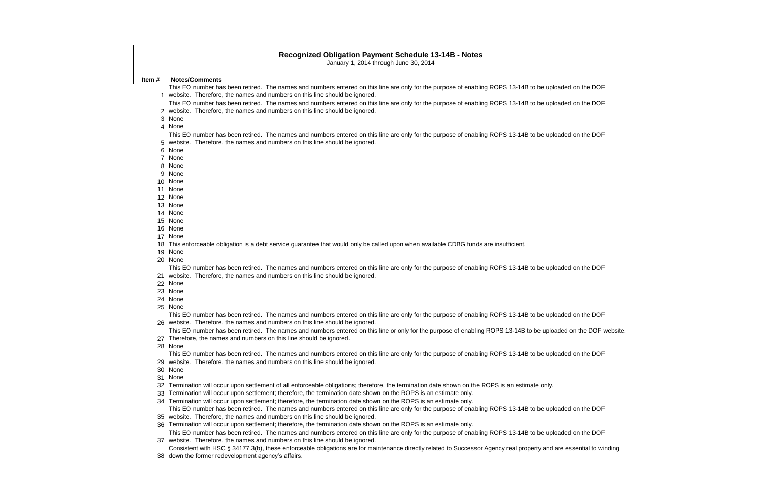|       | <b>Recognized Obligation Payment Schedule 13-14B - Notes</b><br>January 1, 2014 through June 30, 2014                                                             |
|-------|-------------------------------------------------------------------------------------------------------------------------------------------------------------------|
| Item# | <b>Notes/Comments</b>                                                                                                                                             |
|       | This EO number has been retired. The names and numbers entered on this line are only for the purpose of enabling ROPS 13-14B to be uploaded on the DOF            |
|       | 1 website. Therefore, the names and numbers on this line should be ignored.                                                                                       |
|       | This EO number has been retired. The names and numbers entered on this line are only for the purpose of enabling ROPS 13-14B to be uploaded on the DOF            |
|       | 2 website. Therefore, the names and numbers on this line should be ignored.                                                                                       |
| 3     | None                                                                                                                                                              |
|       | 4 None                                                                                                                                                            |
|       | This EO number has been retired. The names and numbers entered on this line are only for the purpose of enabling ROPS 13-14B to be uploaded on the DOF            |
| 5     | website. Therefore, the names and numbers on this line should be ignored.                                                                                         |
| 6     | None                                                                                                                                                              |
| 7     | None                                                                                                                                                              |
| 8     | None                                                                                                                                                              |
| 9     | None                                                                                                                                                              |
|       | 10 None<br>11 None                                                                                                                                                |
|       | 12 None                                                                                                                                                           |
|       | 13 None                                                                                                                                                           |
|       | 14 None                                                                                                                                                           |
|       | 15 None                                                                                                                                                           |
|       | 16 None                                                                                                                                                           |
| 17    | None                                                                                                                                                              |
| 18    | This enforceable obligation is a debt service guarantee that would only be called upon when available CDBG funds are insufficient.                                |
|       | 19 None                                                                                                                                                           |
|       | 20 None                                                                                                                                                           |
|       | This EO number has been retired. The names and numbers entered on this line are only for the purpose of enabling ROPS 13-14B to be uploaded on the DOF            |
|       | website. Therefore, the names and numbers on this line should be ignored.                                                                                         |
|       | 22 None                                                                                                                                                           |
|       | 23 None                                                                                                                                                           |
|       | 24 None                                                                                                                                                           |
|       | 25 None<br>This EO number has been retired. The names and numbers entered on this line are only for the purpose of enabling ROPS 13-14B to be uploaded on the DOF |
|       | 26 website. Therefore, the names and numbers on this line should be ignored.                                                                                      |
|       | This EO number has been retired. The names and numbers entered on this line or only for the purpose of enabling ROPS 13-14B to be uploaded on the DOF w           |
|       | Therefore, the names and numbers on this line should be ignored.                                                                                                  |
|       | 28 None                                                                                                                                                           |
|       | This EO number has been retired. The names and numbers entered on this line are only for the purpose of enabling ROPS 13-14B to be uploaded on the DOF            |
|       | 29 website. Therefore, the names and numbers on this line should be ignored.                                                                                      |
|       | 30 None                                                                                                                                                           |
|       | 31 None                                                                                                                                                           |
| 32    | Termination will occur upon settlement of all enforceable obligations; therefore, the termination date shown on the ROPS is an estimate only.                     |
| 33    | Termination will occur upon settlement; therefore, the termination date shown on the ROPS is an estimate only.                                                    |
| 34    | Termination will occur upon settlement; therefore, the termination date shown on the ROPS is an estimate only.                                                    |
|       | This EO number has been retired. The names and numbers entered on this line are only for the purpose of enabling ROPS 13-14B to be uploaded on the DOF            |

- website. Therefore, the names and numbers on this line should be ignored.
	- Termination will occur upon settlement; therefore, the termination date shown on the ROPS is an estimate only.
- website. Therefore, the names and numbers on this line should be ignored. This EO number has been retired. The names and numbers entered on this line are only for the purpose of enabling ROPS 13-14B to be uploaded on the DOF
- down the former redevelopment agency's affairs. Consistent with HSC § 34177.3(b), these enforceable obligations are for maintenance directly related to Successor Agency real property and are essential to winding

I on the DOF website.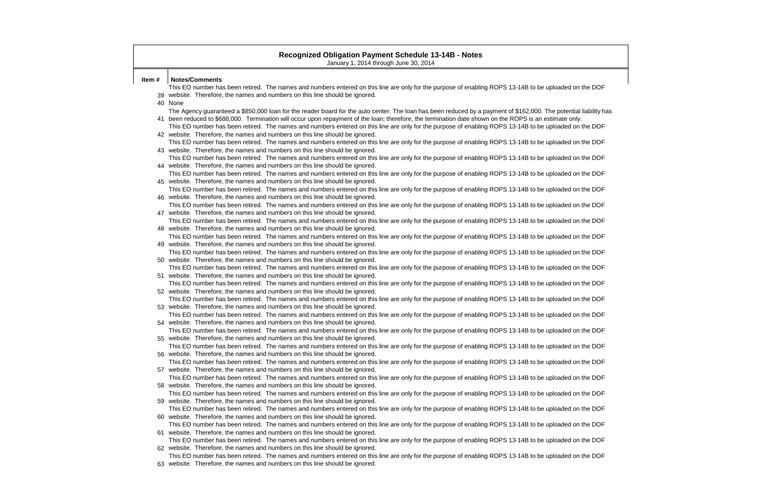|       | <b>Recognized Obligation Payment Schedule 13-14B - Notes</b><br>January 1, 2014 through June 30, 2014                                                                                                                                  |
|-------|----------------------------------------------------------------------------------------------------------------------------------------------------------------------------------------------------------------------------------------|
|       |                                                                                                                                                                                                                                        |
| Item# | <b>Notes/Comments</b>                                                                                                                                                                                                                  |
|       | This EO number has been retired. The names and numbers entered on this line are only for the purpose of enabling ROPS 13-14B to be uploaded on the DOF                                                                                 |
|       | 39 website. Therefore, the names and numbers on this line should be ignored.<br>40 None                                                                                                                                                |
|       | The Agency guaranteed a \$850,000 loan for the reader board for the auto center. The loan has been reduced by a payment of \$162,000. The potential liability has                                                                      |
|       | 41 been reduced to \$688,000. Termination will occur upon repayment of the loan; therefore, the termination date shown on the ROPS is an estimate only.                                                                                |
|       | This EO number has been retired. The names and numbers entered on this line are only for the purpose of enabling ROPS 13-14B to be uploaded on the DOF                                                                                 |
|       | 42 website. Therefore, the names and numbers on this line should be ignored.                                                                                                                                                           |
|       | This EO number has been retired. The names and numbers entered on this line are only for the purpose of enabling ROPS 13-14B to be uploaded on the DOF                                                                                 |
|       | 43 website. Therefore, the names and numbers on this line should be ignored.                                                                                                                                                           |
|       | This EO number has been retired. The names and numbers entered on this line are only for the purpose of enabling ROPS 13-14B to be uploaded on the DOF                                                                                 |
|       | 44 website. Therefore, the names and numbers on this line should be ignored.                                                                                                                                                           |
|       | This EO number has been retired. The names and numbers entered on this line are only for the purpose of enabling ROPS 13-14B to be uploaded on the DOF                                                                                 |
|       | 45 website. Therefore, the names and numbers on this line should be ignored.                                                                                                                                                           |
|       | This EO number has been retired. The names and numbers entered on this line are only for the purpose of enabling ROPS 13-14B to be uploaded on the DOF                                                                                 |
|       | 46 website. Therefore, the names and numbers on this line should be ignored.                                                                                                                                                           |
|       | This EO number has been retired. The names and numbers entered on this line are only for the purpose of enabling ROPS 13-14B to be uploaded on the DOF                                                                                 |
|       | 47 website. Therefore, the names and numbers on this line should be ignored.                                                                                                                                                           |
|       | This EO number has been retired. The names and numbers entered on this line are only for the purpose of enabling ROPS 13-14B to be uploaded on the DOF                                                                                 |
|       | 48 website. Therefore, the names and numbers on this line should be ignored.                                                                                                                                                           |
|       | This EO number has been retired. The names and numbers entered on this line are only for the purpose of enabling ROPS 13-14B to be uploaded on the DOF                                                                                 |
|       | 49 website. Therefore, the names and numbers on this line should be ignored.                                                                                                                                                           |
|       | This EO number has been retired. The names and numbers entered on this line are only for the purpose of enabling ROPS 13-14B to be uploaded on the DOF                                                                                 |
|       | 50 website. Therefore, the names and numbers on this line should be ignored.<br>This EO number has been retired. The names and numbers entered on this line are only for the purpose of enabling ROPS 13-14B to be uploaded on the DOF |
|       | 51 website. Therefore, the names and numbers on this line should be ignored.                                                                                                                                                           |
|       | This EO number has been retired. The names and numbers entered on this line are only for the purpose of enabling ROPS 13-14B to be uploaded on the DOF                                                                                 |
|       | 52 website. Therefore, the names and numbers on this line should be ignored.                                                                                                                                                           |
|       | This EO number has been retired. The names and numbers entered on this line are only for the purpose of enabling ROPS 13-14B to be uploaded on the DOF                                                                                 |
|       | 53 website. Therefore, the names and numbers on this line should be ignored.                                                                                                                                                           |
|       | This EO number has been retired. The names and numbers entered on this line are only for the purpose of enabling ROPS 13-14B to be uploaded on the DOF                                                                                 |
|       | 54 website. Therefore, the names and numbers on this line should be ignored.                                                                                                                                                           |
|       | This EO number has been retired. The names and numbers entered on this line are only for the purpose of enabling ROPS 13-14B to be uploaded on the DOF                                                                                 |
|       | 55 website. Therefore, the names and numbers on this line should be ignored.                                                                                                                                                           |
|       | This EO number has been retired. The names and numbers entered on this line are only for the purpose of enabling ROPS 13-14B to be uploaded on the DOF                                                                                 |
|       | 56 website. Therefore, the names and numbers on this line should be ignored.                                                                                                                                                           |
|       | This EO number has been retired. The names and numbers entered on this line are only for the purpose of enabling ROPS 13-14B to be uploaded on the DOF                                                                                 |
|       | 57 website. Therefore, the names and numbers on this line should be ignored.                                                                                                                                                           |
|       | This EO number has been retired. The names and numbers entered on this line are only for the purpose of enabling ROPS 13-14B to be uploaded on the DOF                                                                                 |
|       | 58 website. Therefore, the names and numbers on this line should be ignored.                                                                                                                                                           |
|       | This EO number has been retired. The names and numbers entered on this line are only for the purpose of enabling ROPS 13-14B to be uploaded on the DOF<br>59 website. Therefore, the names and numbers on this line should be ignored. |
|       | This EO number has been retired. The names and numbers entered on this line are only for the purpose of enabling ROPS 13-14B to be uploaded on the DOF                                                                                 |
|       | 60 website. Therefore, the names and numbers on this line should be ignored.                                                                                                                                                           |
|       | This EO number has been retired. The names and numbers entered on this line are only for the purpose of enabling ROPS 13-14B to be uploaded on the DOF                                                                                 |
|       | 61 website. Therefore, the names and numbers on this line should be ignored.                                                                                                                                                           |
|       | This EO number has been retired. The names and numbers entered on this line are only for the purpose of enabling ROPS 13-14B to be uploaded on the DOF                                                                                 |
|       | 62 website. Therefore, the names and numbers on this line should be ignored.                                                                                                                                                           |
|       | This EO number has been retired. The names and numbers entered on this line are only for the purpose of enabling ROPS 13-14B to be uploaded on the DOF                                                                                 |

63 website. Therefore, the names and numbers on this line should be ignored.

otential liability has ded on the DOF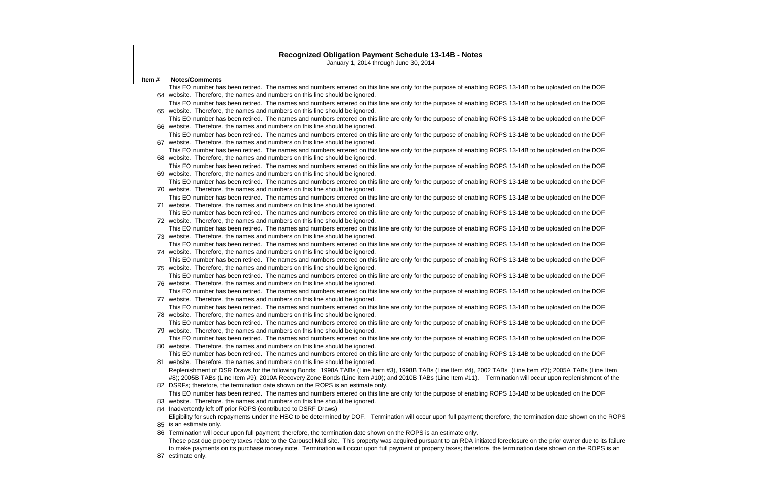|       | <b>Recognized Obligation Payment Schedule 13-14B - Notes</b><br>January 1, 2014 through June 30, 2014                                                                                                                                  |
|-------|----------------------------------------------------------------------------------------------------------------------------------------------------------------------------------------------------------------------------------------|
| Item# | <b>Notes/Comments</b>                                                                                                                                                                                                                  |
|       | This EO number has been retired. The names and numbers entered on this line are only for the purpose of enabling ROPS 13-14B to be uploaded on the DOF                                                                                 |
|       | 64 website. Therefore, the names and numbers on this line should be ignored.                                                                                                                                                           |
|       | This EO number has been retired. The names and numbers entered on this line are only for the purpose of enabling ROPS 13-14B to be uploaded on the DOF                                                                                 |
|       | 65 website. Therefore, the names and numbers on this line should be ignored.                                                                                                                                                           |
|       | This EO number has been retired. The names and numbers entered on this line are only for the purpose of enabling ROPS 13-14B to be uploaded on the DOF                                                                                 |
|       | 66 website. Therefore, the names and numbers on this line should be ignored.                                                                                                                                                           |
|       | This EO number has been retired. The names and numbers entered on this line are only for the purpose of enabling ROPS 13-14B to be uploaded on the DOF                                                                                 |
|       | 67 website. Therefore, the names and numbers on this line should be ignored.                                                                                                                                                           |
|       | This EO number has been retired. The names and numbers entered on this line are only for the purpose of enabling ROPS 13-14B to be uploaded on the DOF                                                                                 |
|       | 68 website. Therefore, the names and numbers on this line should be ignored.                                                                                                                                                           |
|       | This EO number has been retired. The names and numbers entered on this line are only for the purpose of enabling ROPS 13-14B to be uploaded on the DOF                                                                                 |
|       | 69 website. Therefore, the names and numbers on this line should be ignored.                                                                                                                                                           |
|       | This EO number has been retired. The names and numbers entered on this line are only for the purpose of enabling ROPS 13-14B to be uploaded on the DOF                                                                                 |
|       | 70 website. Therefore, the names and numbers on this line should be ignored.                                                                                                                                                           |
|       | This EO number has been retired. The names and numbers entered on this line are only for the purpose of enabling ROPS 13-14B to be uploaded on the DOF                                                                                 |
|       | 71 website. Therefore, the names and numbers on this line should be ignored.                                                                                                                                                           |
|       | This EO number has been retired. The names and numbers entered on this line are only for the purpose of enabling ROPS 13-14B to be uploaded on the DOF                                                                                 |
|       | 72 website. Therefore, the names and numbers on this line should be ignored.                                                                                                                                                           |
|       | This EO number has been retired. The names and numbers entered on this line are only for the purpose of enabling ROPS 13-14B to be uploaded on the DOF                                                                                 |
|       | 73 website. Therefore, the names and numbers on this line should be ignored.                                                                                                                                                           |
|       | This EO number has been retired. The names and numbers entered on this line are only for the purpose of enabling ROPS 13-14B to be uploaded on the DOF                                                                                 |
|       | 74 website. Therefore, the names and numbers on this line should be ignored.                                                                                                                                                           |
|       | This EO number has been retired. The names and numbers entered on this line are only for the purpose of enabling ROPS 13-14B to be uploaded on the DOF                                                                                 |
|       | 75 website. Therefore, the names and numbers on this line should be ignored.                                                                                                                                                           |
|       | This EO number has been retired. The names and numbers entered on this line are only for the purpose of enabling ROPS 13-14B to be uploaded on the DOF                                                                                 |
|       | 76 website. Therefore, the names and numbers on this line should be ignored.                                                                                                                                                           |
|       | This EO number has been retired. The names and numbers entered on this line are only for the purpose of enabling ROPS 13-14B to be uploaded on the DOF                                                                                 |
|       | 77 website. Therefore, the names and numbers on this line should be ignored.                                                                                                                                                           |
|       | This EO number has been retired. The names and numbers entered on this line are only for the purpose of enabling ROPS 13-14B to be uploaded on the DOF                                                                                 |
|       | 78 website. Therefore, the names and numbers on this line should be ignored.                                                                                                                                                           |
|       | This EO number has been retired. The names and numbers entered on this line are only for the purpose of enabling ROPS 13-14B to be uploaded on the DOF<br>79 website. Therefore, the names and numbers on this line should be ignored. |
|       | This EO number has been retired. The names and numbers entered on this line are only for the purpose of enabling ROPS 13-14B to be uploaded on the DOF                                                                                 |
|       | 80 website. Therefore, the names and numbers on this line should be ignored.                                                                                                                                                           |
|       | This EO number has been retired. The names and numbers entered on this line are only for the purpose of enabling ROPS 13-14B to be uploaded on the DOF                                                                                 |
|       | 81 website. Therefore, the names and numbers on this line should be ignored.                                                                                                                                                           |
|       | Replenishment of DSR Draws for the following Bonds: 1998A TABs (Line Item #3), 1998B TABs (Line Item #4), 2002 TABs (Line Item #7); 2005A TABs (Line Item tem                                                                          |
|       | #8); 2005B TABs (Line Item #9); 2010A Recovery Zone Bonds (Line Item #10); and 2010B TABs (Line Item #11). Termination will occur upon replenishment of the                                                                            |
|       | 82 DSRFs; therefore, the termination date shown on the ROPS is an estimate only.                                                                                                                                                       |
|       | This EO number has been retired. The names and numbers entered on this line are only for the purpose of enabling ROPS 13-14B to be uploaded on the DOF                                                                                 |
|       | 83 website. Therefore, the names and numbers on this line should be ignored.                                                                                                                                                           |
|       | 84 Inadvertently left off prior ROPS (contributed to DSRF Draws)                                                                                                                                                                       |
|       | Eligibility for such repayments under the HSC to be determined by DOF. Termination will occur upon full payment; therefore, the termination date shown on the ROF                                                                      |
|       | 85 is an estimate only.                                                                                                                                                                                                                |
|       | 86 Termination will occur upon full payment; therefore, the termination date shown on the ROPS is an estimate only.                                                                                                                    |
|       | These past due property taxes relate to the Carousel Mall site. This property was acquired pursuant to an RDA initiated foreclosure on the prior owner due to its failured                                                             |
|       | to make payments on its purchase money note. Termination will occur upon full payment of property taxes; therefore, the termination date shown on the ROPS is an                                                                       |

87 estimate only.

te shown on the ROPS

owner due to its failure on the ROPS is an